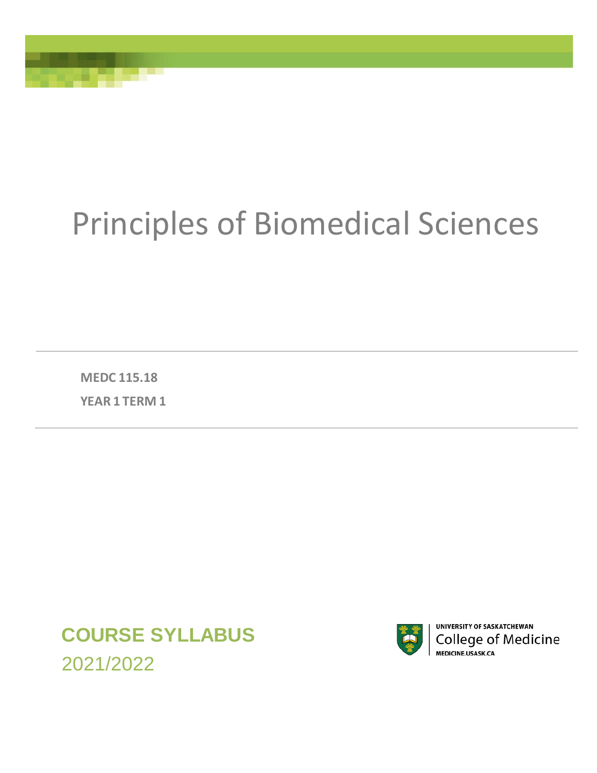# Principles of Biomedical Sciences

**MEDC 115.18 YEAR 1 TERM 1**

**COURSE SYLLABUS**  2021/2022



**UNIVERSITY OF SASKATCHEWAN College of Medicine** MEDICINE.USASK.CA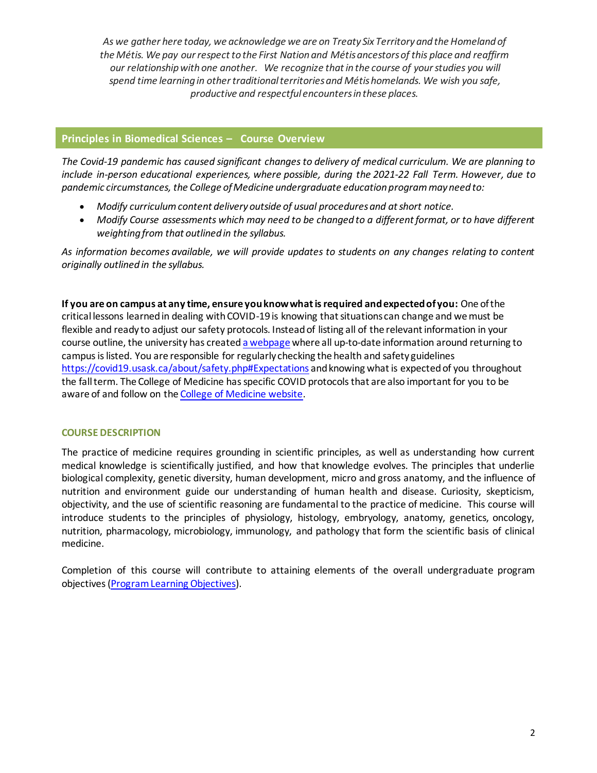*As we gather here today, we acknowledge we are on Treaty Six Territory and the Homeland of the Métis. We pay our respect to the First Nation and Métis ancestors of this place and reaffirm our relationship with one another. We recognize that in the course of your studies you will spend time learning in other traditional territories and Métishomelands. We wish you safe, productive and respectful encounters in these places.*

# **Principles in Biomedical Sciences – Course Overview**

*The Covid-19 pandemic has caused significant changes to delivery of medical curriculum. We are planning to include in-person educational experiences, where possible, during the 2021-22 Fall Term. However, due to pandemic circumstances, the College of Medicine undergraduate education program may need to:*

- *Modify curriculum content delivery outside of usual procedures and at short notice.*
- *Modify Course assessments which may need to be changed to a different format, or to have different weighting from that outlined in the syllabus.*

*As information becomes available, we will provide updates to students on any changes relating to content originally outlined in the syllabus.*

**If you are on campus at any time, ensure you know what is required and expected of you:** One of the critical lessons learned in dealing with COVID-19 is knowing that situations can change and we must be flexible and ready to adjust our safety protocols. Instead of listing all of the relevant information in your course outline, the university has create[d a webpage](https://covid19.usask.ca/students.php#Oncampusessentials) where all up-to-date information around returning to campus is listed. You are responsible for regularly checking the health and safety guidelines <https://covid19.usask.ca/about/safety.php#Expectations> and knowing what is expected of you throughout the fall term. The College of Medicine has specific COVID protocols that are also important for you to be aware of and follow on th[e College of Medicine website.](https://medicine.usask.ca/students/covid19.php)

# **COURSE DESCRIPTION**

The practice of medicine requires grounding in scientific principles, as well as understanding how current medical knowledge is scientifically justified, and how that knowledge evolves. The principles that underlie biological complexity, genetic diversity, human development, micro and gross anatomy, and the influence of nutrition and environment guide our understanding of human health and disease. Curiosity, skepticism, objectivity, and the use of scientific reasoning are fundamental to the practice of medicine. This course will introduce students to the principles of physiology, histology, embryology, anatomy, genetics, oncology, nutrition, pharmacology, microbiology, immunology, and pathology that form the scientific basis of clinical medicine.

Completion of this course will contribute to attaining elements of the overall undergraduate program objectives [\(Program Learning Objectives\)](https://medicine.usask.ca/students/undergraduate/curriculum-schedules-objectives.php).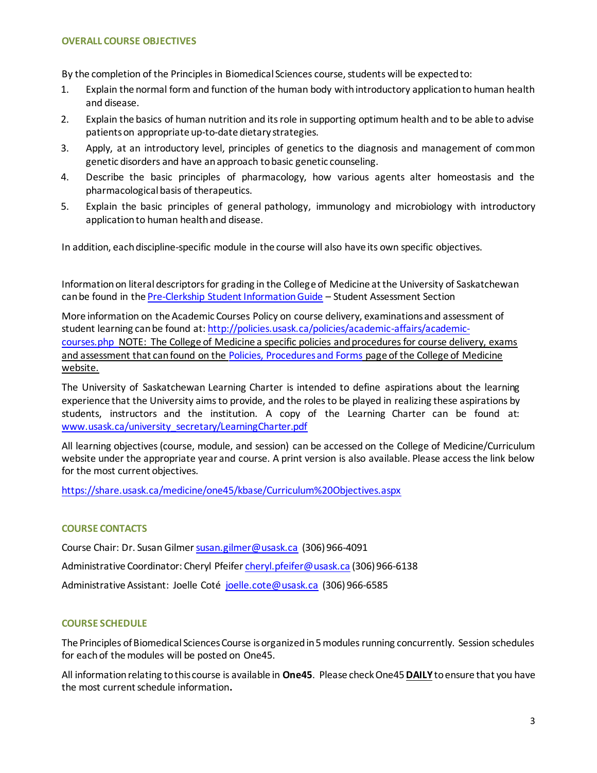# **OVERALL COURSE OBJECTIVES**

By the completion of the Principles in Biomedical Sciences course, students will be expected to:

- 1. Explain the normal form and function of the human body with introductory application to human health and disease.
- 2. Explain the basics of human nutrition and its role in supporting optimum health and to be able to advise patients on appropriate up-to-date dietary strategies.
- 3. Apply, at an introductory level, principles of genetics to the diagnosis and management of common genetic disorders and have an approach to basic genetic counseling.
- 4. Describe the basic principles of pharmacology, how various agents alter homeostasis and the pharmacological basis of therapeutics.
- 5. Explain the basic principles of general pathology, immunology and microbiology with introductory application to human health and disease.

In addition, each discipline-specific module in the course will also have its own specific objectives.

Information on literal descriptors for grading in the College of Medicine at the University of Saskatchewan can be found in th[e Pre-Clerkship Student Information Guide](https://medicine.usask.ca/documents/ugme/syllabi/student-guide-to-pre-clerkship.pdf) – Student Assessment Section

More information on the Academic Courses Policy on course delivery, examinations and assessment of student learning can be found at: [http://policies.usask.ca/policies/academic-affairs/academic](http://policies.usask.ca/policies/academic-affairs/academic-courses.php)[courses.php](http://policies.usask.ca/policies/academic-affairs/academic-courses.php) NOTE: The College of Medicine a specific policies and procedures for course delivery, exams and assessment that can found on the [Policies, Procedures and Forms](https://medicine.usask.ca/students/undergraduate/policies.php) page of the College of Medicine website.

The University of Saskatchewan Learning Charter is intended to define aspirations about the learning experience that the University aims to provide, and the roles to be played in realizing these aspirations by students, instructors and the institution. A copy of the Learning Charter can be found at: [www.usask.ca/university\\_secretary/LearningCharter.pdf](http://www.usask.ca/university_secretary/LearningCharter.pdf)

All learning objectives (course, module, and session) can be accessed on the College of Medicine/Curriculum website under the appropriate year and course. A print version is also available. Please access the link below for the most current objectives.

[https://share.usask.ca/medicine/one45/kbase/Curriculum%20Objectives.aspx](https://share.usask.ca/medicine/one45/kbase/Curriculum-Objectives.aspx)

# **COURSE CONTACTS**

Course Chair: Dr. Susan Gilme[r susan.gilmer@usask.ca](mailto:susan.gilmer@usask.ca) (306) 966-4091 Administrative Coordinator: Cheryl Pfeife[r cheryl.pfeifer@usask.ca](mailto:cheryl.pfeifer@usask.ca) (306) 966-6138 Administrative Assistant: Joelle Coté [joelle.cote@usask.ca](mailto:joelle.cote@usask.ca) (306) 966-6585

# **COURSE SCHEDULE**

The Principles of Biomedical Sciences Course is organized in 5 modules running concurrently. Session schedules for each of the modules will be posted on One45.

All information relating to this course is available in **One45**. Please check One45**DAILY**to ensure that you have the most current schedule information**.**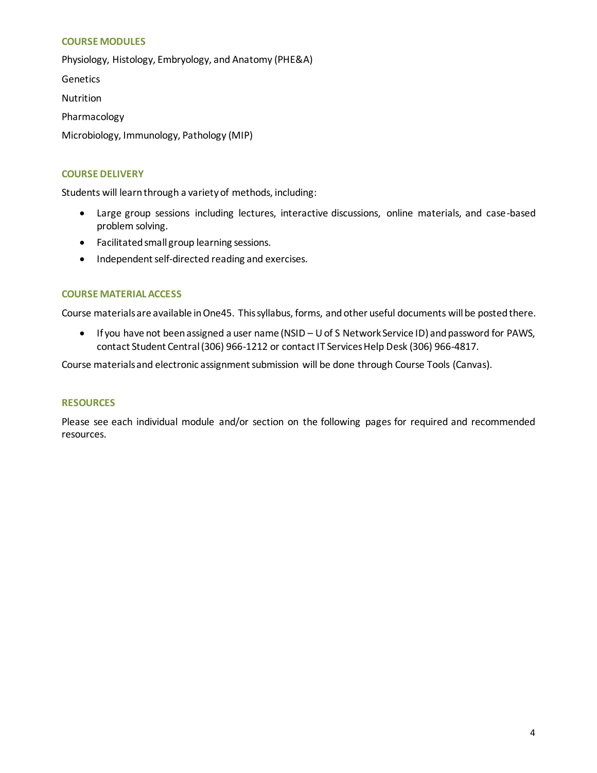# **COURSE MODULES**

Physiology, Histology, Embryology, and Anatomy (PHE&A)

Genetics

Nutrition

Pharmacology

Microbiology, Immunology, Pathology (MIP)

# **COURSE DELIVERY**

Students will learn through a variety of methods, including:

- Large group sessions including lectures, interactive discussions, online materials, and case-based problem solving.
- Facilitated small group learning sessions.
- Independent self-directed reading and exercises.

# **COURSE MATERIAL ACCESS**

Course materials are available in One45. Thissyllabus, forms, andother useful documents will be postedthere.

• If you have not been assigned a user name (NSID – U of S Network Service ID) and password for PAWS, contact Student Central (306) 966-1212 or contact IT Services Help Desk (306) 966-4817.

Course materials and electronic assignment submission will be done through Course Tools (Canvas).

# **RESOURCES**

Please see each individual module and/or section on the following pages for required and recommended resources.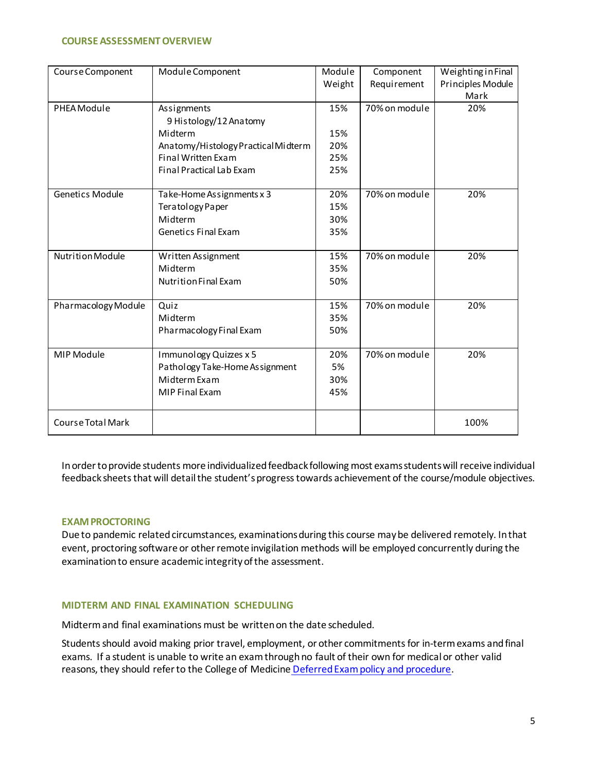## **COURSE ASSESSMENT OVERVIEW**

| Course Component    | Module Component                    | Module | Component     | Weighting in Final |
|---------------------|-------------------------------------|--------|---------------|--------------------|
|                     |                                     | Weight | Requirement   | Principles Module  |
|                     |                                     |        |               | Mark               |
| PHEA Module         | Assignments                         | 15%    | 70% on module | 20%                |
|                     | 9 Histology/12 Anatomy              |        |               |                    |
|                     | Midterm                             | 15%    |               |                    |
|                     | Anatomy/Histology Practical Midterm | 20%    |               |                    |
|                     | Final Written Exam                  | 25%    |               |                    |
|                     | Final Practical Lab Exam            | 25%    |               |                    |
|                     |                                     |        |               |                    |
| Genetics Module     | Take-Home Assignments x 3           | 20%    | 70% on module | 20%                |
|                     | Teratology Paper                    | 15%    |               |                    |
|                     | Midterm                             | 30%    |               |                    |
|                     | Genetics Final Exam                 | 35%    |               |                    |
|                     |                                     |        |               |                    |
| Nutrition Module    | Written Assignment                  | 15%    | 70% on module | 20%                |
|                     | Midterm                             | 35%    |               |                    |
|                     | Nutrition Final Exam                | 50%    |               |                    |
|                     |                                     |        |               |                    |
| Pharmacology Module | Quiz                                | 15%    | 70% on module | 20%                |
|                     | Midterm                             | 35%    |               |                    |
|                     | Pharmacology Final Exam             | 50%    |               |                    |
|                     |                                     |        |               |                    |
| MIP Module          | Immunology Quizzes x 5              | 20%    | 70% on module | 20%                |
|                     | Pathology Take-Home Assignment      | 5%     |               |                    |
|                     | Midterm Exam                        | 30%    |               |                    |
|                     | <b>MIP Final Exam</b>               | 45%    |               |                    |
|                     |                                     |        |               |                    |
| Course Total Mark   |                                     |        |               | 100%               |

In order to provide students more individualized feedback following most exams students will receive individual feedback sheets that will detail the student's progress towards achievement of the course/module objectives.

# **EXAM PROCTORING**

Due to pandemic related circumstances, examinations during this course may be delivered remotely. In that event, proctoring software or other remote invigilation methods will be employed concurrently during the examination to ensure academic integrity of the assessment.

#### **MIDTERM AND FINAL EXAMINATION SCHEDULING**

Midterm and final examinations must be written on the date scheduled.

Students should avoid making prior travel, employment, or other commitments for in-term exams and final exams. If a student is unable to write an exam through no fault of their own for medical or other valid reasons, they should refer to the College of Medicine [Deferred Exam policy and procedure.](https://medicine.usask.ca/policies/deferred-exams.php)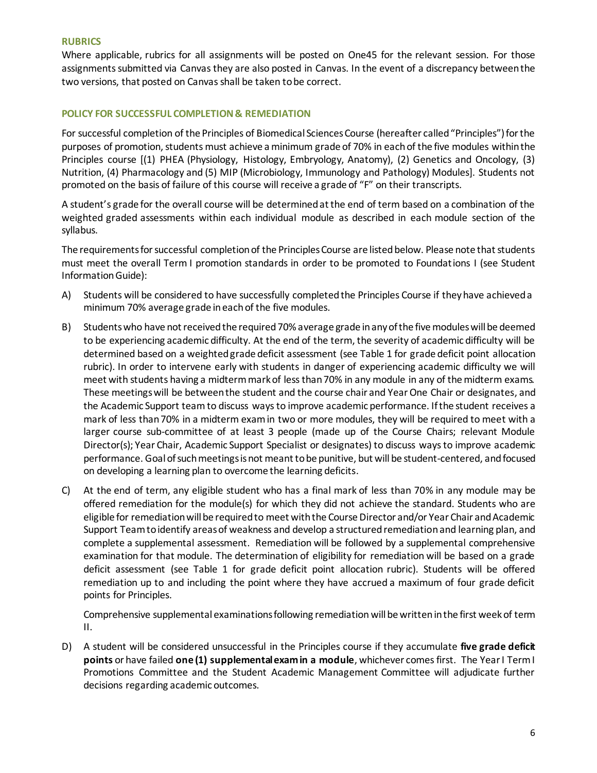## **RUBRICS**

Where applicable, rubrics for all assignments will be posted on One45 for the relevant session. For those assignments submitted via Canvas they are also posted in Canvas. In the event of a discrepancy between the two versions, that posted on Canvas shall be taken to be correct.

# **POLICY FOR SUCCESSFUL COMPLETION & REMEDIATION**

For successful completion of the Principles of Biomedical Sciences Course (hereafter called "Principles") for the purposes of promotion, students must achieve a minimum grade of 70% in each of the five modules within the Principles course [(1) PHEA (Physiology, Histology, Embryology, Anatomy), (2) Genetics and Oncology, (3) Nutrition, (4) Pharmacology and (5) MIP (Microbiology, Immunology and Pathology) Modules]. Students not promoted on the basis of failure of this course will receive a grade of "F" on their transcripts.

A student's grade for the overall course will be determined at the end of term based on a combination of the weighted graded assessments within each individual module as described in each module section of the syllabus.

The requirements for successful completion of the Principles Course are listed below. Please note that students must meet the overall Term I promotion standards in order to be promoted to Foundations I (see Student Information Guide):

- A) Students will be considered to have successfully completed the Principles Course if they have achieved a minimum 70% average grade in each of the five modules.
- B) Students who have not received the required 70% average grade in any of the five modules will be deemed to be experiencing academic difficulty. At the end of the term, the severity of academic difficulty will be determined based on a weighted grade deficit assessment (see Table 1 for grade deficit point allocation rubric). In order to intervene early with students in danger of experiencing academic difficulty we will meet with students having a midterm mark of less than 70% in any module in any of the midterm exams. These meetings will be between the student and the course chair and Year One Chair or designates, and the Academic Support teamto discuss ways to improve academic performance. If the student receives a mark of less than 70% in a midterm exam in two or more modules, they will be required to meet with a larger course sub-committee of at least 3 people (made up of the Course Chairs; relevant Module Director(s); Year Chair, Academic Support Specialist or designates) to discuss ways to improve academic performance. Goal of such meetings is not meant to be punitive, but will be student-centered, and focused on developing a learning plan to overcome the learning deficits.
- C) At the end of term, any eligible student who has a final mark of less than 70% in any module may be offered remediation for the module(s) for which they did not achieve the standard. Students who are eligible for remediation will be required to meet with the Course Director and/or Year Chair and Academic Support Team to identify areas of weakness and develop a structured remediation and learning plan, and complete a supplemental assessment. Remediation will be followed by a supplemental comprehensive examination for that module. The determination of eligibility for remediation will be based on a grade deficit assessment (see Table 1 for grade deficit point allocation rubric). Students will be offered remediation up to and including the point where they have accrued a maximum of four grade deficit points for Principles.

Comprehensive supplemental examinations following remediation will be written in the first week of term II.

D) A student will be considered unsuccessful in the Principles course if they accumulate **five grade deficit points** or have failed **one (1) supplemental exam in a module**, whichever comes first. The Year I Term I Promotions Committee and the Student Academic Management Committee will adjudicate further decisions regarding academic outcomes.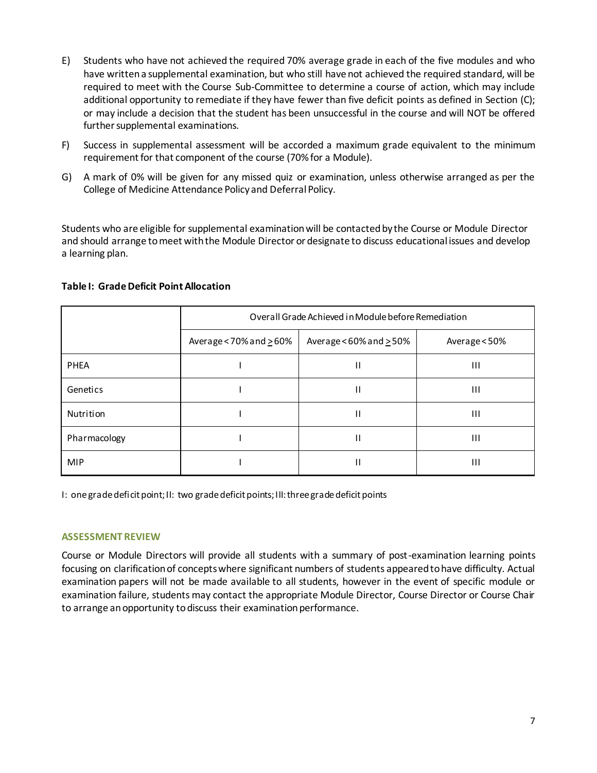- E) Students who have not achieved the required 70% average grade in each of the five modules and who have written a supplemental examination, but who still have not achieved the required standard, will be required to meet with the Course Sub-Committee to determine a course of action, which may include additional opportunity to remediate if they have fewer than five deficit points as defined in Section (C); or may include a decision that the student has been unsuccessful in the course and will NOT be offered further supplemental examinations.
- F) Success in supplemental assessment will be accorded a maximum grade equivalent to the minimum requirement for that component of the course (70% for a Module).
- G) A mark of 0% will be given for any missed quiz or examination, unless otherwise arranged as per the College of Medicine Attendance Policy and Deferral Policy.

Students who are eligible for supplemental examination will be contacted by the Course or Module Director and should arrange to meet with the Module Director or designate to discuss educational issues and develop a learning plan.

|              | Overall Grade Achieved in Module before Remediation |                                  |               |
|--------------|-----------------------------------------------------|----------------------------------|---------------|
|              | Average < $70\%$ and $\geq 60\%$                    | Average < $60\%$ and $\geq 50\%$ | Average < 50% |
| <b>PHEA</b>  |                                                     | П                                | Ш             |
| Genetics     |                                                     | П                                | Ш             |
| Nutrition    |                                                     | П                                | Ш             |
| Pharmacology |                                                     | $\mathsf{H}$                     | Ш             |
| <b>MIP</b>   |                                                     | Н                                | Ш             |

## **Table I: Grade Deficit Point Allocation**

I: one grade deficit point; II: two grade deficit points; III: three grade deficit points

#### **ASSESSMENT REVIEW**

Course or Module Directors will provide all students with a summary of post-examination learning points focusing on clarification of concepts where significant numbers of students appeared to have difficulty. Actual examination papers will not be made available to all students, however in the event of specific module or examination failure, students may contact the appropriate Module Director, Course Director or Course Chair to arrange an opportunity to discuss their examination performance.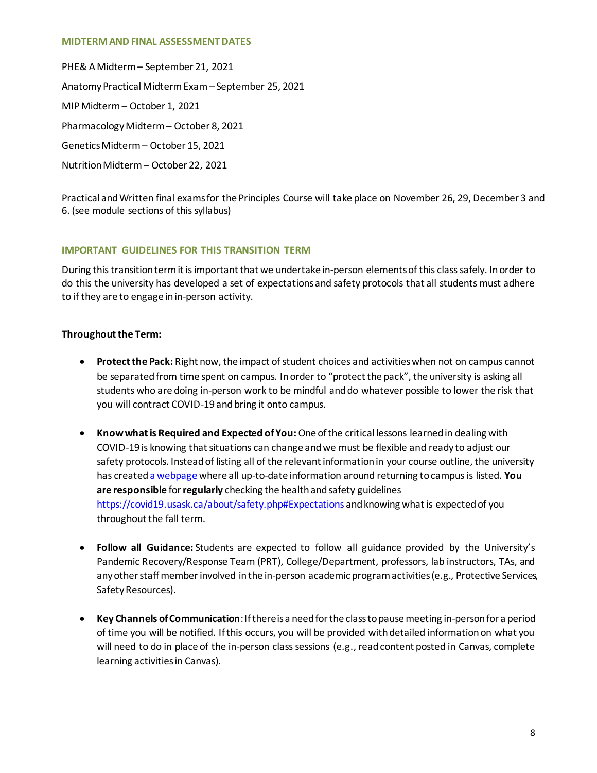#### **MIDTERM AND FINAL ASSESSMENT DATES**

PHE& A Midterm – September 21, 2021 Anatomy Practical Midterm Exam – September 25, 2021 MIP Midterm – October 1, 2021 Pharmacology Midterm – October 8, 2021 Genetics Midterm – October 15, 2021 Nutrition Midterm – October 22, 2021

Practical and Written final exams for the Principles Course will take place on November 26, 29, December 3 and 6. (see module sections of this syllabus)

# **IMPORTANT GUIDELINES FOR THIS TRANSITION TERM**

During this transition term it is important that we undertake in-person elements of this class safely. In order to do this the university has developed a set of expectations and safety protocols that all students must adhere to if they are to engage in in-person activity.

# **Throughout the Term:**

- **Protect the Pack:** Right now, the impact of student choices and activities when not on campus cannot be separated from time spent on campus. In order to "protect the pack", the university is asking all students who are doing in-person work to be mindful and do whatever possible to lower the risk that you will contract COVID-19 and bring it onto campus.
- **Know what is Required and Expected of You:**One of the critical lessons learned in dealing with COVID-19 is knowing that situations can change and we must be flexible and ready to adjust our safety protocols. Instead of listing all of the relevant information in your course outline, the university has create[d a webpage](https://covid19.usask.ca/students.php#Oncampusessentials) where all up-to-date information around returning to campus is listed. **You are responsible** for **regularly** checking the health and safety guidelines <https://covid19.usask.ca/about/safety.php#Expectations> and knowing what is expected of you throughout the fall term.
- **Follow all Guidance:** Students are expected to follow all guidance provided by the University's Pandemic Recovery/Response Team (PRT), College/Department, professors, lab instructors, TAs, and any other staff member involved in the in-person academic program activities (e.g., Protective Services, Safety Resources).
- **Key Channels of Communication**: If there is a need for the class to pause meeting in-person for a period of time you will be notified. If this occurs, you will be provided with detailed information on what you will need to do in place of the in-person class sessions (e.g., read content posted in Canvas, complete learning activities in Canvas).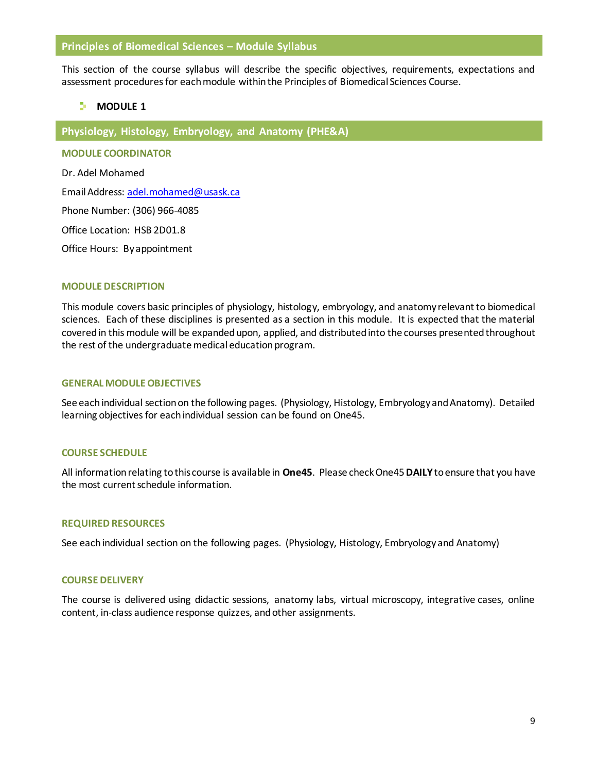## **Principles of Biomedical Sciences – Module Syllabus**

This section of the course syllabus will describe the specific objectives, requirements, expectations and assessment procedures for each module within the Principles of Biomedical Sciences Course.

# **MODULE**<sub>1</sub>

**Physiology, Histology, Embryology, and Anatomy (PHE&A)**

**MODULE COORDINATOR**

Dr. Adel Mohamed

Email Address: adel.mohamed@usask.ca

Phone Number: (306) 966-4085

Office Location: HSB 2D01.8

Office Hours: By appointment

#### **MODULE DESCRIPTION**

This module covers basic principles of physiology, histology, embryology, and anatomy relevant to biomedical sciences. Each of these disciplines is presented as a section in this module. It is expected that the material covered in this module will be expanded upon, applied, and distributed into the courses presented throughout the rest of the undergraduate medical education program.

#### **GENERAL MODULE OBJECTIVES**

See each individual section on the following pages. (Physiology, Histology, Embryology and Anatomy). Detailed learning objectives for each individual session can be found on One45.

# **COURSE SCHEDULE**

All information relating to this course is available in **One45**. Please check One45**DAILY**to ensure that you have the most current schedule information.

#### **REQUIRED RESOURCES**

See each individual section on the following pages. (Physiology, Histology, Embryology and Anatomy)

#### **COURSE DELIVERY**

The course is delivered using didactic sessions, anatomy labs, virtual microscopy, integrative cases, online content, in-class audience response quizzes, and other assignments.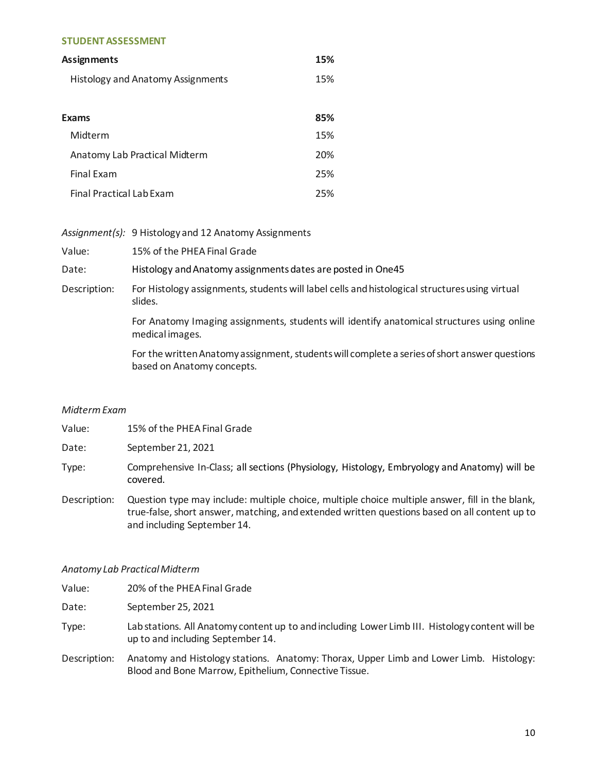#### **STUDENT ASSESSMENT**

| Assignments                              |     |
|------------------------------------------|-----|
| <b>Histology and Anatomy Assignments</b> | 15% |
|                                          |     |
| Exams                                    | 85% |
| Midterm                                  | 15% |
| Anatomy Lab Practical Midterm            | 20% |
| <b>Final Exam</b>                        | 25% |
| Final Practical Lab Exam                 | 25% |

|              | Assignment(s): 9 Histology and 12 Anatomy Assignments                                                                       |
|--------------|-----------------------------------------------------------------------------------------------------------------------------|
| Value:       | 15% of the PHEA Final Grade                                                                                                 |
| Date:        | Histology and Anatomy assignments dates are posted in One45                                                                 |
| Description: | For Histology assignments, students will label cells and histological structures using virtual<br>slides.                   |
|              | For Anatomy Imaging assignments, students will identify anatomical structures using online<br>medical images.               |
|              | For the written Anatomy assignment, students will complete a series of short answer questions<br>based on Anatomy concepts. |

## *Midterm Exam*

| Value:       | 15% of the PHEA Final Grade                                                                              |
|--------------|----------------------------------------------------------------------------------------------------------|
| Date:        | September 21, 2021                                                                                       |
| Type:        | Comprehensive In-Class; all sections (Physiology, Histology, Embryology and Anatomy) will be<br>covered. |
| Description: | Question type may include: multiple choice, multiple choice multiple answer, fill in the blank,          |

true-false, short answer, matching, and extended written questions based on all content up to and including September 14.

## *Anatomy Lab Practical Midterm*

Value: 20% of the PHEA Final Grade

Date: September 25, 2021

- Type: Lab stations. All Anatomy content up to and including Lower Limb III. Histology content will be up to and including September 14.
- Description: Anatomy and Histology stations. Anatomy: Thorax, Upper Limb and Lower Limb. Histology: Blood and Bone Marrow, Epithelium, Connective Tissue.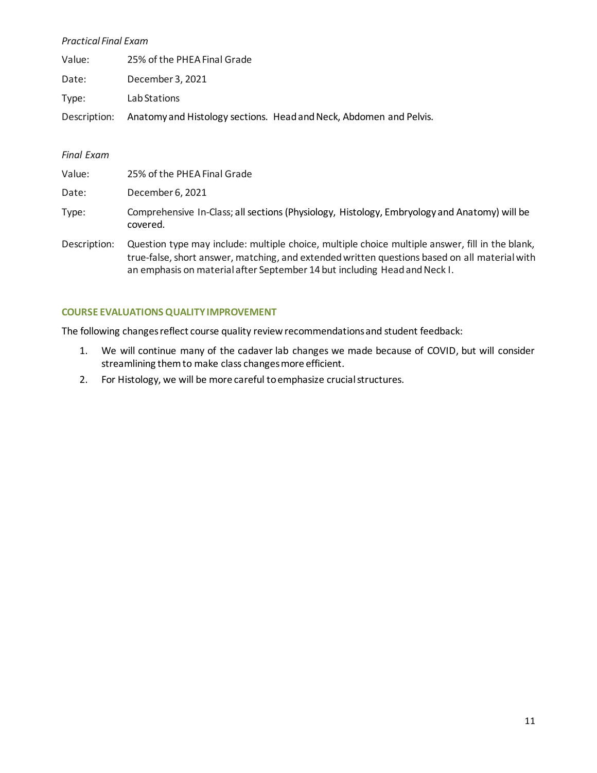# *Practical Final Exam*

| Value: | 25% of the PHEA Final Grade                                                     |
|--------|---------------------------------------------------------------------------------|
| Date:  | December 3, 2021                                                                |
| Type:  | Lab Stations                                                                    |
|        | Description: Anatomy and Histology sections. Head and Neck, Abdomen and Pelvis. |

## *Final Exam*

| Value:       | 25% of the PHEA Final Grade                                                                                                                                                                      |
|--------------|--------------------------------------------------------------------------------------------------------------------------------------------------------------------------------------------------|
| Date:        | December 6, 2021                                                                                                                                                                                 |
| Type:        | Comprehensive In-Class; all sections (Physiology, Histology, Embryology and Anatomy) will be<br>covered.                                                                                         |
| Description: | Question type may include: multiple choice, multiple choice multiple answer, fill in the blank,<br>true-false, short answer, matching, and extended written questions based on all material with |

an emphasis on material after September 14 but including Head and Neck I.

# **COURSE EVALUATIONS QUALITY IMPROVEMENT**

The following changes reflect course quality review recommendations and student feedback:

- 1. We will continue many of the cadaver lab changes we made because of COVID, but will consider streamlining them to make class changes more efficient.
- 2. For Histology, we will be more careful to emphasize crucial structures.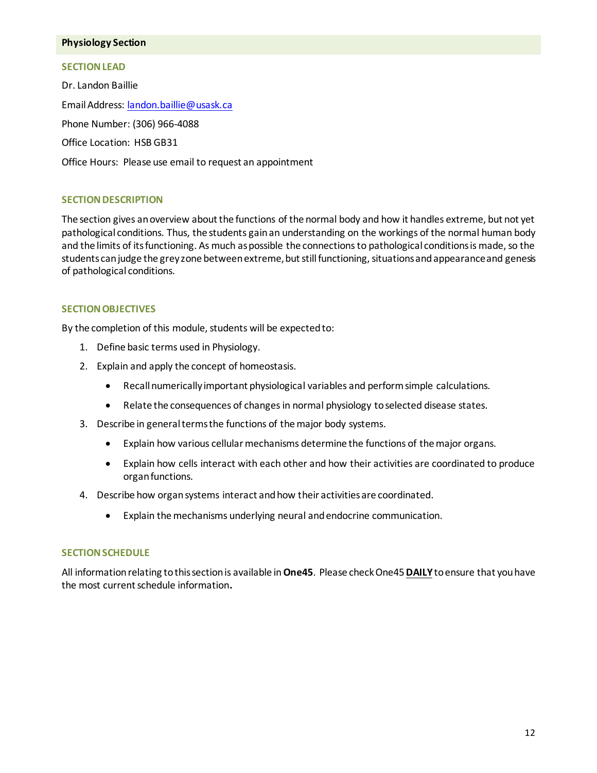## **Physiology Section**

# **SECTION LEAD**

Dr. Landon Baillie Email Address: landon.baillie@usask.ca Phone Number: (306) 966-4088 Office Location: HSB GB31 Office Hours: Please use email to request an appointment

# **SECTION DESCRIPTION**

The section gives an overview about the functions of the normal body and how it handles extreme, but not yet pathological conditions. Thus, the students gain an understanding on the workings of the normal human body and the limits of its functioning. As much as possible the connections to pathological conditions is made, so the students can judge the grey zone between extreme, but still functioning, situations and appearance and genesis of pathological conditions.

# **SECTION OBJECTIVES**

By the completion of this module, students will be expected to:

- 1. Define basic terms used in Physiology.
- 2. Explain and apply the concept of homeostasis.
	- Recall numerically important physiological variables and perform simple calculations.
	- Relate the consequences of changes in normal physiology to selected disease states.
- 3. Describe in general terms the functions of the major body systems.
	- Explain how various cellular mechanisms determine the functions of the major organs.
	- Explain how cells interact with each other and how their activities are coordinated to produce organ functions.
- 4. Describe how organ systems interact and how their activities are coordinated.
	- Explain the mechanisms underlying neural and endocrine communication.

# **SECTION SCHEDULE**

All information relating to this section is available in **One45**. Please check One45**DAILY**to ensure that you have the most current schedule information**.**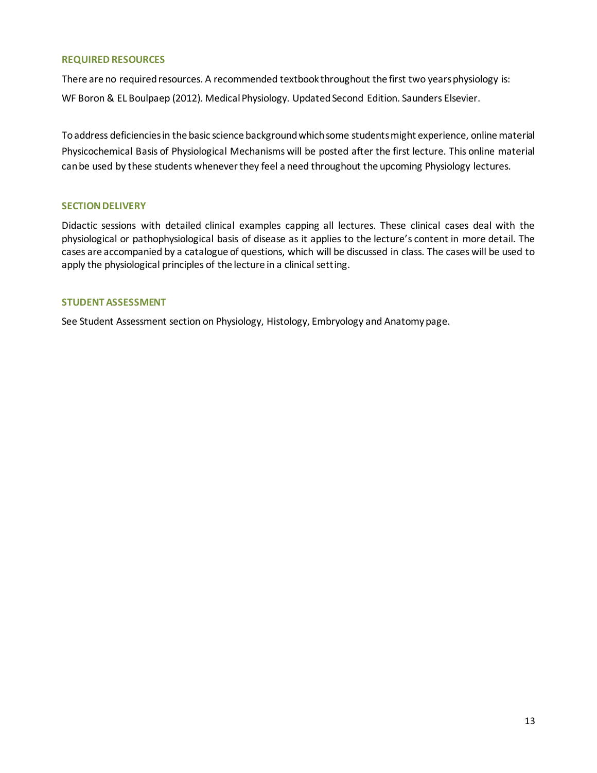## **REQUIRED RESOURCES**

There are no required resources. A recommended textbook throughout the first two years physiology is: WF Boron & EL Boulpaep (2012). Medical Physiology. Updated Second Edition. Saunders Elsevier.

To address deficiencies in the basic science background which some students might experience, online material Physicochemical Basis of Physiological Mechanisms will be posted after the first lecture. This online material can be used by these students whenever they feel a need throughout the upcoming Physiology lectures.

# **SECTION DELIVERY**

Didactic sessions with detailed clinical examples capping all lectures. These clinical cases deal with the physiological or pathophysiological basis of disease as it applies to the lecture's content in more detail. The cases are accompanied by a catalogue of questions, which will be discussed in class. The cases will be used to apply the physiological principles of the lecture in a clinical setting.

# **STUDENT ASSESSMENT**

See Student Assessment section on Physiology, Histology, Embryology and Anatomy page.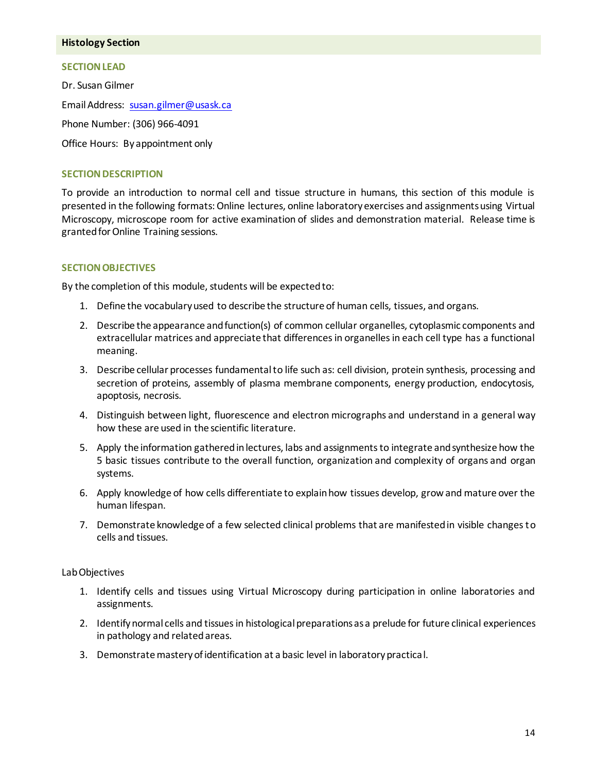#### **Histology Section**

## **SECTION LEAD**

Dr. Susan Gilmer Email Address: susan.gilmer@usask.ca Phone Number: (306) 966-4091 Office Hours: By appointment only

# **SECTION DESCRIPTION**

To provide an introduction to normal cell and tissue structure in humans, this section of this module is presented in the following formats: Online lectures, online laboratory exercises and assignments using Virtual Microscopy, microscope room for active examination of slides and demonstration material. Release time is granted for Online Training sessions.

# **SECTION OBJECTIVES**

By the completion of this module, students will be expected to:

- 1. Define the vocabulary used to describe the structure of human cells, tissues, and organs.
- 2. Describe the appearance and function(s) of common cellular organelles, cytoplasmic components and extracellular matrices and appreciate that differences in organelles in each cell type has a functional meaning.
- 3. Describe cellular processes fundamental to life such as: cell division, protein synthesis, processing and secretion of proteins, assembly of plasma membrane components, energy production, endocytosis, apoptosis, necrosis.
- 4. Distinguish between light, fluorescence and electron micrographs and understand in a general way how these are used in the scientific literature.
- 5. Apply the information gathered in lectures, labs and assignments to integrate and synthesize how the 5 basic tissues contribute to the overall function, organization and complexity of organs and organ systems.
- 6. Apply knowledge of how cells differentiate to explain how tissues develop, grow and mature over the human lifespan.
- 7. Demonstrate knowledge of a few selected clinical problems that are manifested in visible changes to cells and tissues.

# Lab Objectives

- 1. Identify cells and tissues using Virtual Microscopy during participation in online laboratories and assignments.
- 2. Identifynormal cells and tissues in histological preparations as a prelude for future clinical experiences in pathology and related areas.
- 3. Demonstrate mastery of identification at a basic level in laboratory practical.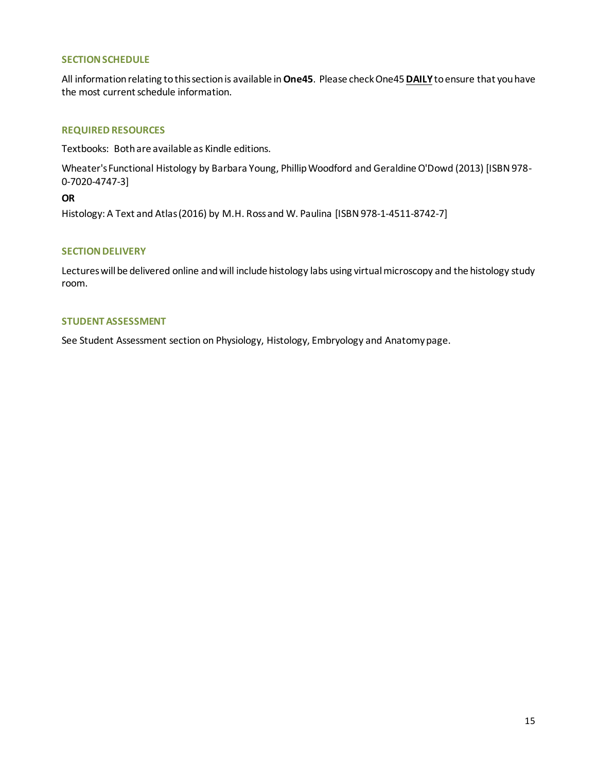## **SECTION SCHEDULE**

All information relating to this section is available in **One45**. Please check One45**DAILY**to ensure that you have the most current schedule information.

## **REQUIRED RESOURCES**

Textbooks: Both are available as Kindle editions.

[Wheater's Functional Histology b](http://www.amazon.ca/Wheaters-Functional-Histology-FUNCTIONAL-HISTOLOGY-ebook/dp/B00I7PDI0O/ref=sr_1_2?ie=UTF8&qid=1404929497&sr=8-2&keywords=Functional+Histology)y Barbara Young, Phillip Woodford and Geraldine O'Dowd (2013) [ISBN 978- 0-7020-4747-3]

**OR**

Histology: A Text and Atlas (2016) by M.H. Ross and W. Paulina [ISBN 978-1-4511-8742-7]

## **SECTION DELIVERY**

Lectures will be delivered online and will include histology labs using virtual microscopy and the histology study room.

## **STUDENT ASSESSMENT**

See Student Assessment section on Physiology, Histology, Embryology and Anatomy page.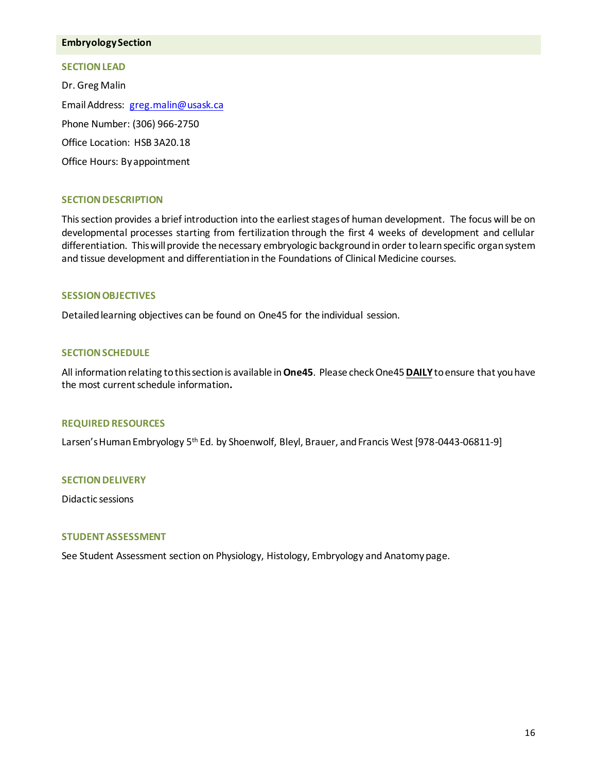## **Embryology Section**

#### **SECTION LEAD**

Dr. Greg Malin Email Address: greg.malin@usask.ca Phone Number: (306) 966-2750 Office Location: HSB 3A20.18 Office Hours: By appointment

## **SECTION DESCRIPTION**

This section provides a brief introduction into the earliest stages of human development. The focus will be on developmental processes starting from fertilization through the first 4 weeks of development and cellular differentiation. This will provide the necessary embryologic background in order to learn specific organ system and tissue development and differentiation in the Foundations of Clinical Medicine courses.

## **SESSION OBJECTIVES**

Detailed learning objectives can be found on One45 for the individual session.

#### **SECTION SCHEDULE**

All information relating to this section is available in **One45**. Please check One45**DAILY**to ensure that you have the most current schedule information**.**

## **REQUIRED RESOURCES**

Larsen's Human Embryology 5<sup>th</sup> Ed. by Shoenwolf, Bleyl, Brauer, and Francis West [978-0443-06811-9]

#### **SECTION DELIVERY**

Didactic sessions

## **STUDENT ASSESSMENT**

See Student Assessment section on Physiology, Histology, Embryology and Anatomy page.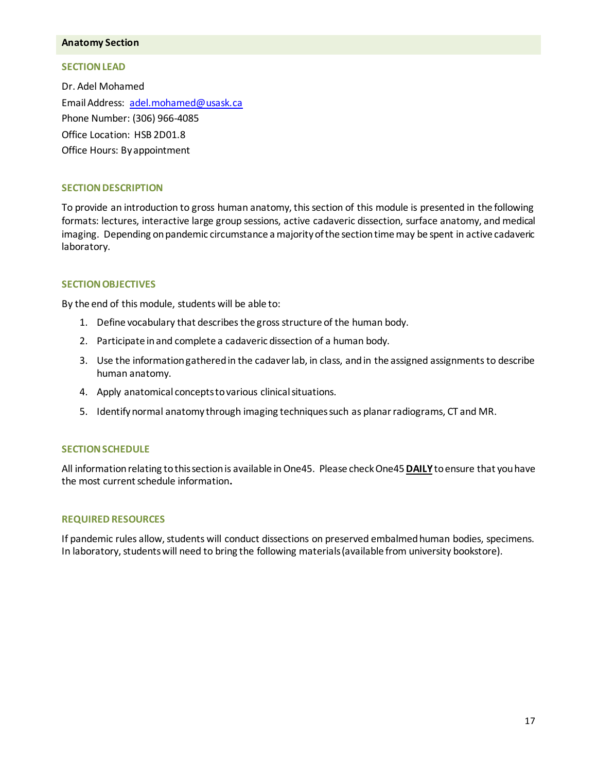#### **Anatomy Section**

#### **SECTION LEAD**

Dr. Adel Mohamed Email Address: adel.mohamed@usask.ca Phone Number: (306) 966-4085 Office Location: HSB 2D01.8 Office Hours: By appointment

#### **SECTION DESCRIPTION**

To provide an introduction to gross human anatomy, this section of this module is presented in the following formats: lectures, interactive large group sessions, active cadaveric dissection, surface anatomy, and medical imaging. Depending on pandemic circumstance a majority of the section time may be spent in active cadaveric laboratory.

## **SECTION OBJECTIVES**

By the end of this module, students will be able to:

- 1. Define vocabulary that describes the gross structure of the human body.
- 2. Participate in and complete a cadaveric dissection of a human body.
- 3. Use the information gathered in the cadaver lab, in class, and in the assigned assignments to describe human anatomy.
- 4. Apply anatomical concepts to various clinical situations.
- 5. Identify normal anatomy through imaging techniques such as planar radiograms, CT and MR.

#### **SECTION SCHEDULE**

All information relating to this section is available in One45. Please check One45**DAILY**to ensure that you have the most current schedule information**.**

#### **REQUIRED RESOURCES**

If pandemic rules allow, students will conduct dissections on preserved embalmed human bodies, specimens. In laboratory, students will need to bring the following materials (available from university bookstore).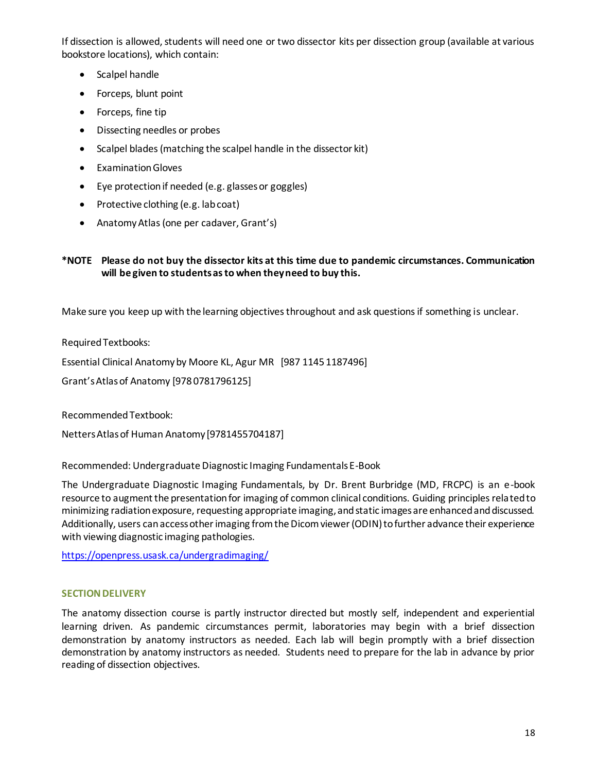If dissection is allowed, students will need one or two dissector kits per dissection group (available at various bookstore locations), which contain:

- Scalpel handle
- Forceps, blunt point
- Forceps, fine tip
- Dissecting needles or probes
- Scalpel blades (matching the scalpel handle in the dissector kit)
- Examination Gloves
- Eye protection if needed (e.g. glasses or goggles)
- Protective clothing (e.g. lab coat)
- Anatomy Atlas (one per cadaver, Grant's)

# **\*NOTE Please do not buy the dissector kits at this time due to pandemic circumstances. Communication will be given to students as to when they need to buy this.**

Make sure you keep up with the learning objectives throughout and ask questions if something is unclear.

Required Textbooks:

Essential Clinical Anatomy by Moore KL, Agur MR [987 1145 1187496]

Grant's Atlas of Anatomy [978 0781796125]

Recommended Textbook:

Netters Atlas of Human Anatomy [9781455704187]

Recommended: Undergraduate Diagnostic Imaging Fundamentals E-Book

The Undergraduate Diagnostic Imaging Fundamentals, by Dr. Brent Burbridge (MD, FRCPC) is an e-book resource to augment the presentation for imaging of common clinical conditions. Guiding principles related to minimizing radiation exposure, requesting appropriate imaging, and static images are enhanced and discussed. Additionally, users can access other imaging from the Dicom viewer (ODIN) to further advance their experience with viewing diagnostic imaging pathologies.

<https://openpress.usask.ca/undergradimaging/>

# **SECTION DELIVERY**

The anatomy dissection course is partly instructor directed but mostly self, independent and experiential learning driven. As pandemic circumstances permit, laboratories may begin with a brief dissection demonstration by anatomy instructors as needed. Each lab will begin promptly with a brief dissection demonstration by anatomy instructors as needed. Students need to prepare for the lab in advance by prior reading of dissection objectives.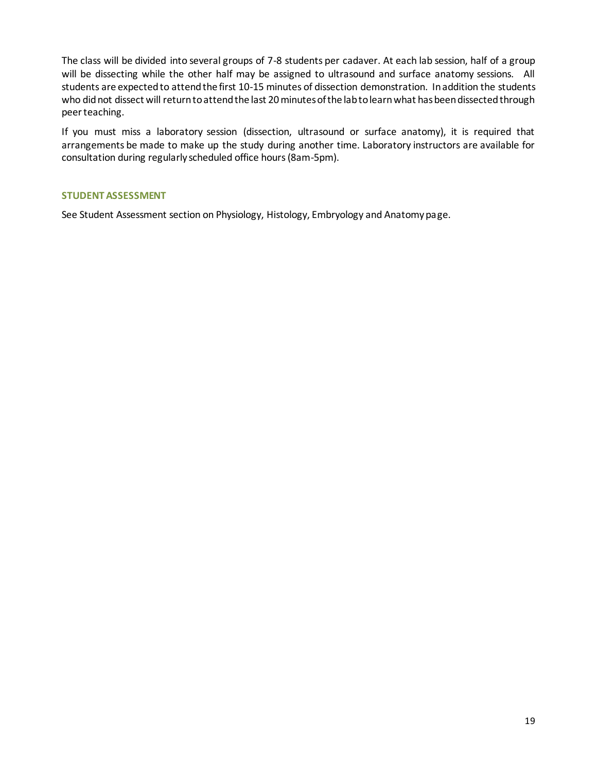The class will be divided into several groups of 7-8 students per cadaver. At each lab session, half of a group will be dissecting while the other half may be assigned to ultrasound and surface anatomy sessions. All students are expected to attend the first 10-15 minutes of dissection demonstration. In addition the students who did not dissect will return to attend the last 20 minutes of the lab to learn what has been dissected through peer teaching.

If you must miss a laboratory session (dissection, ultrasound or surface anatomy), it is required that arrangements be made to make up the study during another time. Laboratory instructors are available for consultation during regularly scheduled office hours (8am-5pm).

# **STUDENT ASSESSMENT**

See Student Assessment section on Physiology, Histology, Embryology and Anatomy page.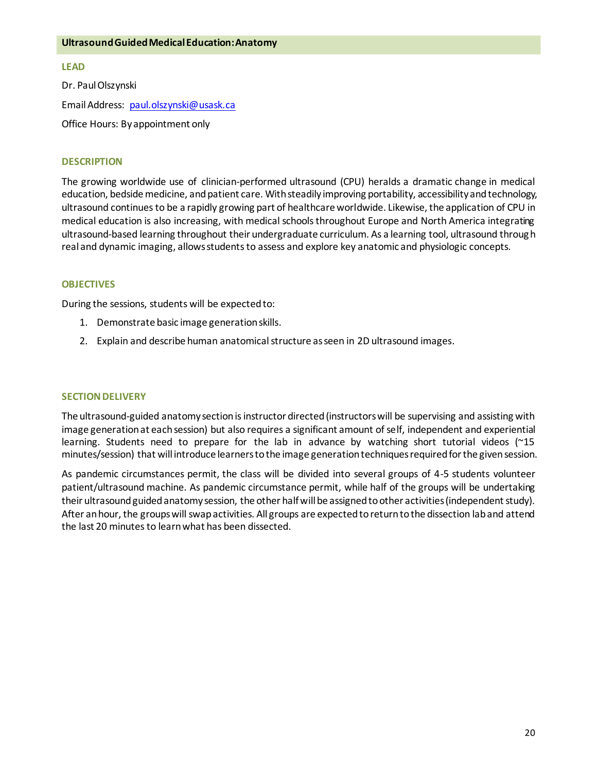#### **Ultrasound Guided Medical Education: Anatomy**

# **LEAD**

Dr. Paul Olszynski Email Address: [paul.olszynski@usask.ca](mailto:paul.olszynski@usask.ca) Office Hours: By appointment only

## **DESCRIPTION**

The growing worldwide use of clinician-performed ultrasound (CPU) heralds a dramatic change in medical education, bedside medicine, and patient care. With steadily improving portability, accessibility and technology, ultrasound continues to be a rapidly growing part of healthcare worldwide. Likewise, the application of CPU in medical education is also increasing, with medical schools throughout Europe and North America integrating ultrasound-based learning throughout their undergraduate curriculum. As a learning tool, ultrasound through real and dynamic imaging, allows students to assess and explore key anatomic and physiologic concepts.

## **OBJECTIVES**

During the sessions, students will be expected to:

- 1. Demonstrate basic image generation skills.
- 2. Explain and describe human anatomicalstructure as seen in 2D ultrasound images.

#### **SECTION DELIVERY**

The ultrasound-guided anatomy section is instructor directed (instructors will be supervising and assisting with image generation at each session) but also requires a significant amount of self, independent and experiential learning. Students need to prepare for the lab in advance by watching short tutorial videos (~15 minutes/session) that will introduce learners to the image generation techniques required for the given session.

As pandemic circumstances permit, the class will be divided into several groups of 4-5 students volunteer patient/ultrasound machine. As pandemic circumstance permit, while half of the groups will be undertaking their ultrasound guided anatomy session, the other half will be assigned to other activities (independent study). After an hour, the groups will swap activities. All groups are expected to return to the dissection lab and attend the last 20 minutes to learn what has been dissected.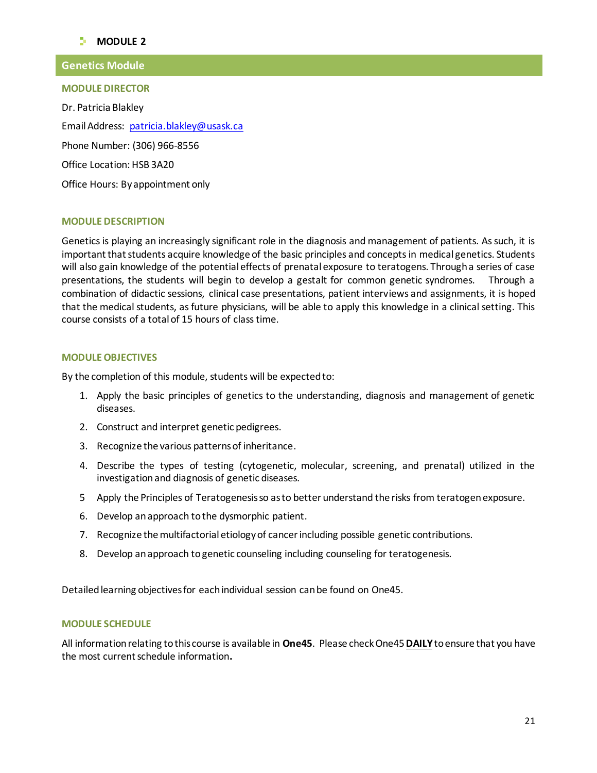# **MODULE**<sub>2</sub>

# **Genetics Module**

**MODULE DIRECTOR**

Dr. Patricia Blakley Email Address: patricia.blakley@usask.ca Phone Number: (306) 966-8556 Office Location: HSB 3A20 Office Hours: By appointment only

## **MODULE DESCRIPTION**

Genetics is playing an increasingly significant role in the diagnosis and management of patients. As such, it is important that students acquire knowledge of the basic principles and concepts in medical genetics. Students will also gain knowledge of the potential effects of prenatal exposure to teratogens. Through a series of case presentations, the students will begin to develop a gestalt for common genetic syndromes. Through a combination of didactic sessions, clinical case presentations, patient interviews and assignments, it is hoped that the medical students, as future physicians, will be able to apply this knowledge in a clinical setting. This course consists of a total of 15 hours of class time.

## **MODULE OBJECTIVES**

By the completion of this module, students will be expected to:

- 1. Apply the basic principles of genetics to the understanding, diagnosis and management of genetic diseases.
- 2. Construct and interpret genetic pedigrees.
- 3. Recognize the various patterns of inheritance.
- 4. Describe the types of testing (cytogenetic, molecular, screening, and prenatal) utilized in the investigation and diagnosis of genetic diseases.
- 5 Apply the Principles of Teratogenesis so as to better understand the risks from teratogen exposure.
- 6. Develop an approach to the dysmorphic patient.
- 7. Recognize the multifactorial etiology of cancer including possible genetic contributions.
- 8. Develop an approach to genetic counseling including counseling for teratogenesis.

Detailed learning objectives for each individual session can be found on One45.

#### **MODULE SCHEDULE**

All information relating to this course is available in **One45**. Please check One45**DAILY**to ensure that you have the most current schedule information**.**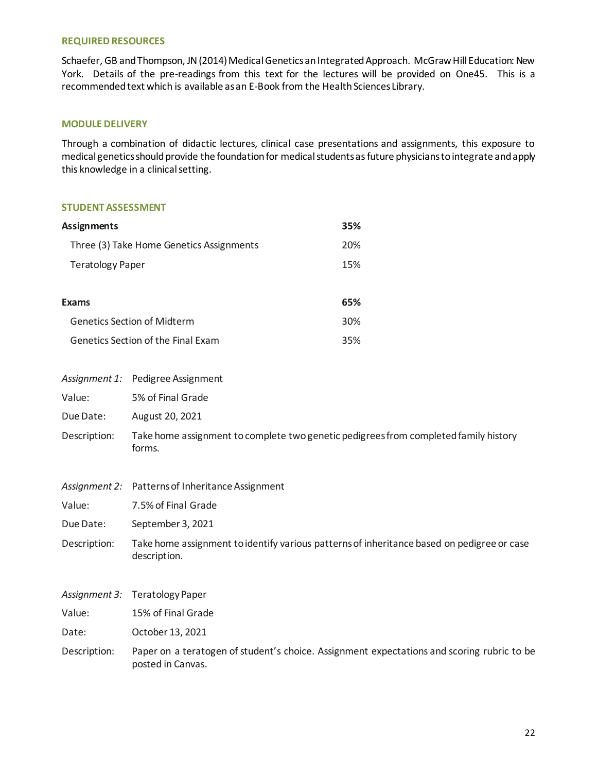#### **REQUIRED RESOURCES**

Schaefer, GB and Thompson, JN (2014) Medical Genetics an Integrated Approach. McGraw Hill Education: New York. Details of the pre-readings from this text for the lectures will be provided on One45. This is a recommended text which is available as an E-Book from the Health Sciences Library.

## **MODULE DELIVERY**

Through a combination of didactic lectures, clinical case presentations and assignments, this exposure to medical genetics should provide the foundation for medical students as future physicians to integrate and apply this knowledge in a clinical setting.

#### **STUDENT ASSESSMENT**

| Assignments                              | 35%             |
|------------------------------------------|-----------------|
| Three (3) Take Home Genetics Assignments | 20%             |
| <b>Teratology Paper</b>                  | 15%             |
|                                          |                 |
| <b>Exams</b>                             | 65%             |
| <b>Genetics Section of Midterm</b>       | 30 <sup>%</sup> |
| Genetics Section of the Final Exam       | 35%             |

- *Assignment 1:* Pedigree Assignment
- Value: 5% of Final Grade
- Due Date: August 20, 2021
- Description: Take home assignment to complete two genetic pedigrees from completed family history forms.
- *Assignment 2:* Patterns of Inheritance Assignment
- Value: 7.5% of Final Grade
- Due Date: September 3, 2021
- Description: Take home assignment to identify various patterns of inheritance based on pedigree or case description.
- *Assignment 3:* Teratology Paper
- Value: 15% of Final Grade
- Date: October 13, 2021
- Description: Paper on a teratogen of student's choice. Assignment expectations and scoring rubric to be posted in Canvas.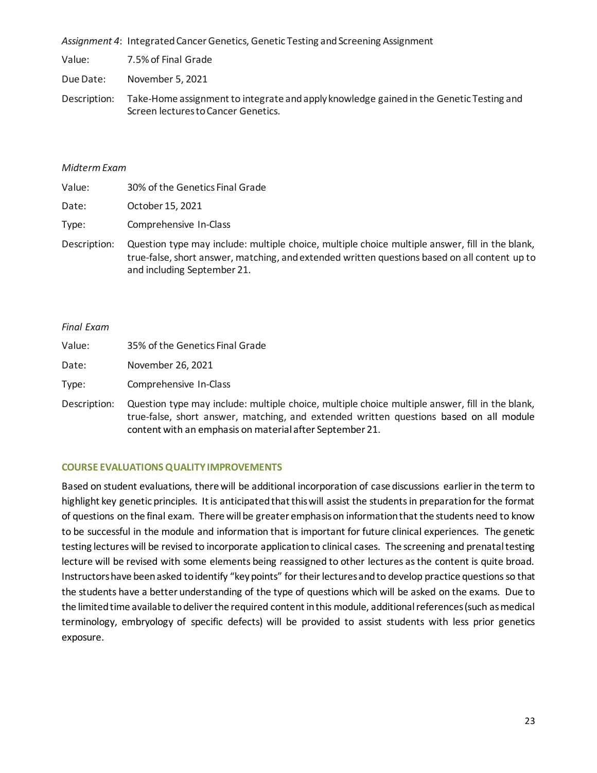*Assignment 4*: Integrated Cancer Genetics, Genetic Testing and Screening Assignment

Value: 7.5% of Final Grade

Due Date: November 5, 2021

Description: Take-Home assignment to integrate and apply knowledge gained in the Genetic Testing and Screen lectures to Cancer Genetics.

## *Midterm Exam*

| Value: | 30% of the Genetics Final Grade                                                   |
|--------|-----------------------------------------------------------------------------------|
| Date:  | October 15, 2021                                                                  |
| Type:  | Comprehensive In-Class                                                            |
|        | Description: Question type may include: multiple choice, multiple choice multiple |

answer, fill in the blank, true-false, short answer, matching, and extended written questions based on all content up to and including September 21.

## *Final Exam*

| Value: | 35% of the Genetics Final Grade |
|--------|---------------------------------|
| Date:  | November 26, 2021               |
| Type:  | Comprehensive In-Class          |

Description: Question type may include: multiple choice, multiple choice multiple answer, fill in the blank, true-false, short answer, matching, and extended written questions based on all module content with an emphasis on material after September 21.

# **COURSE EVALUATIONS QUALITY IMPROVEMENTS**

Based on student evaluations, there will be additional incorporation of case discussions earlier in the term to highlight key genetic principles. It is anticipated that this will assist the students in preparation for the format of questions on the final exam. There will be greater emphasis on information that the students need to know to be successful in the module and information that is important for future clinical experiences. The genetic testing lectures will be revised to incorporate application to clinical cases. The screening and prenatal testing lecture will be revised with some elements being reassigned to other lectures as the content is quite broad. Instructors have been asked to identify "key points" for their lectures and to develop practice questions so that the students have a better understanding of the type of questions which will be asked on the exams. Due to the limited time available to deliver the required content in this module, additional references (such as medical terminology, embryology of specific defects) will be provided to assist students with less prior genetics exposure.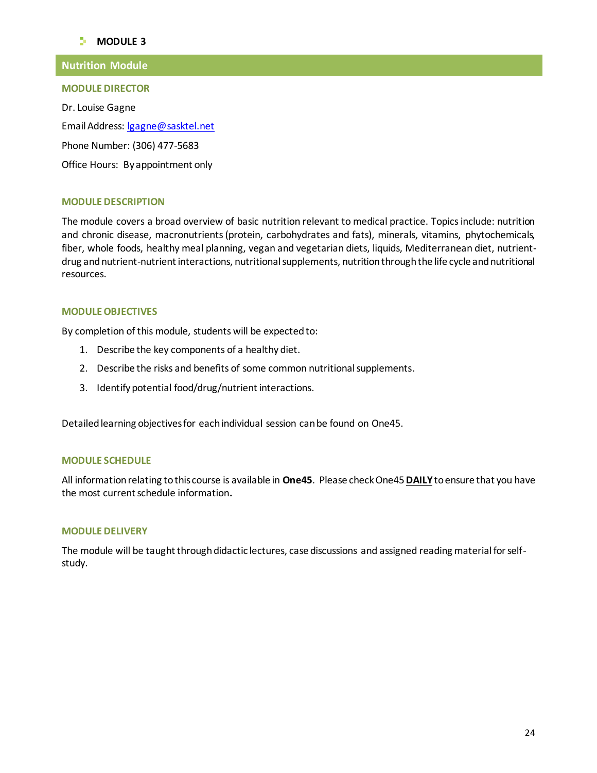# **MODULE**<sub>3</sub>

# **Nutrition Module**

#### **MODULE DIRECTOR**

Dr. Louise Gagne Email Address: lgagne@sasktel.net Phone Number: (306) 477-5683 Office Hours: By appointment only

# **MODULE DESCRIPTION**

The module covers a broad overview of basic nutrition relevant to medical practice. Topics include: nutrition and chronic disease, macronutrients (protein, carbohydrates and fats), minerals, vitamins, phytochemicals, fiber, whole foods, healthy meal planning, vegan and vegetarian diets, liquids, Mediterranean diet, nutrientdrug and nutrient-nutrient interactions, nutritional supplements, nutrition through the life cycle and nutritional resources.

## **MODULE OBJECTIVES**

By completion of this module, students will be expected to:

- 1. Describe the key components of a healthy diet.
- 2. Describe the risks and benefits of some common nutritional supplements.
- 3. Identify potential food/drug/nutrient interactions.

Detailed learning objectives for each individual session can be found on One45.

#### **MODULE SCHEDULE**

All information relating to this course is available in **One45**. Please check One45**DAILY**to ensure that you have the most current schedule information**.**

## **MODULE DELIVERY**

The module will be taught through didactic lectures, case discussions and assigned reading material for selfstudy.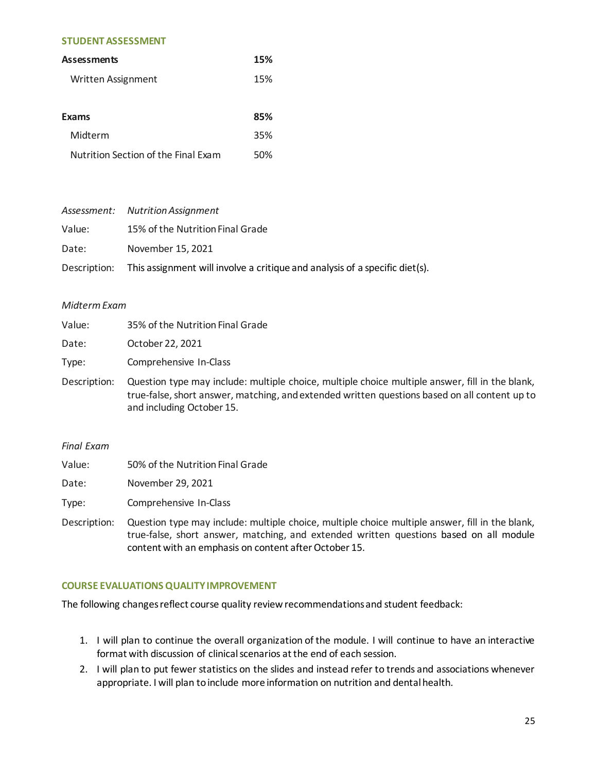#### **STUDENT ASSESSMENT**

| <b>Assessments</b>                  | 15% |
|-------------------------------------|-----|
| Written Assignment                  | 15% |
|                                     |     |
| <b>Exams</b>                        | 85% |
| Midterm                             | 35% |
| Nutrition Section of the Final Exam | 50% |

|        | Assessment: Nutrition Assignment                                                         |
|--------|------------------------------------------------------------------------------------------|
| Value: | 15% of the Nutrition Final Grade                                                         |
| Date:  | November 15, 2021                                                                        |
|        | Description: This assignment will involve a critique and analysis of a specific diet(s). |

#### *Midterm Exam*

| Value:       | 35% of the Nutrition Final Grade                                                                                                                                                                                              |
|--------------|-------------------------------------------------------------------------------------------------------------------------------------------------------------------------------------------------------------------------------|
| Date:        | October 22, 2021                                                                                                                                                                                                              |
| Type:        | Comprehensive In-Class                                                                                                                                                                                                        |
| Description: | Question type may include: multiple choice, multiple choice multiple answer, fill in the blank,<br>true-false, short answer, matching, and extended written questions based on all content up to<br>and including October 15. |

### *Final Exam*

| Value: | 50% of the Nutrition Final Grade |  |
|--------|----------------------------------|--|
|--------|----------------------------------|--|

Date: November 29, 2021

Type: Comprehensive In-Class

Description: Question type may include: multiple choice, multiple choice multiple answer, fill in the blank, true-false, short answer, matching, and extended written questions based on all module content with an emphasis on content after October 15.

# **COURSE EVALUATIONS QUALITY IMPROVEMENT**

The following changes reflect course quality review recommendations and student feedback:

- 1. I will plan to continue the overall organization of the module. I will continue to have an interactive format with discussion of clinical scenarios at the end of each session.
- 2. I will plan to put fewer statistics on the slides and instead refer to trends and associations whenever appropriate. I will plan to include more information on nutrition and dental health.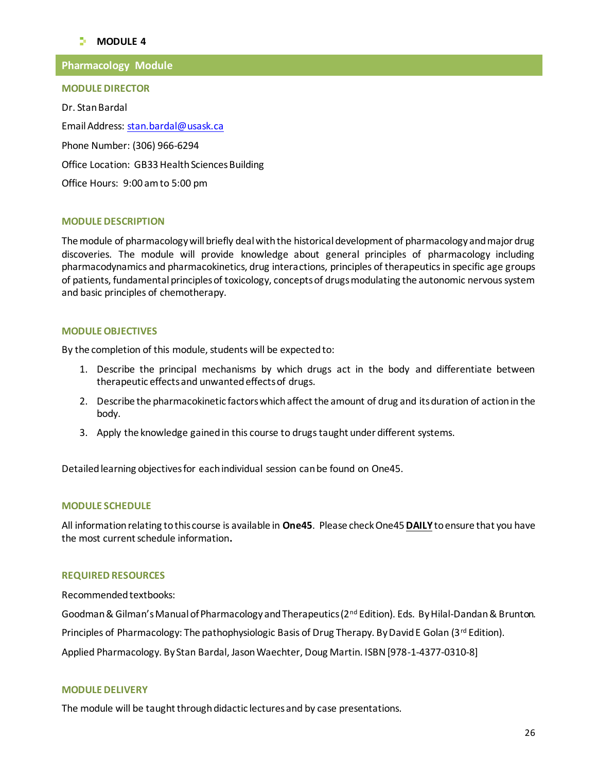# **MODULE**<sub>4</sub>

# **Pharmacology Module**

#### **MODULE DIRECTOR**

Dr. Stan Bardal Email Address: stan.bardal@usask.ca Phone Number: (306) 966-6294 Office Location: GB33 Health Sciences Building Office Hours: 9:00 am to 5:00 pm

## **MODULE DESCRIPTION**

The module of pharmacology will briefly deal with the historical development of pharmacology and major drug discoveries. The module will provide knowledge about general principles of pharmacology including pharmacodynamics and pharmacokinetics, drug interactions, principles of therapeutics in specific age groups of patients, fundamental principles of toxicology, concepts of drugs modulating the autonomic nervous system and basic principles of chemotherapy.

## **MODULE OBJECTIVES**

By the completion of this module, students will be expected to:

- 1. Describe the principal mechanisms by which drugs act in the body and differentiate between therapeutic effects and unwanted effects of drugs.
- 2. Describe the pharmacokinetic factors which affect the amount of drug and its duration of action in the body.
- 3. Apply the knowledge gained in this course to drugs taught under different systems.

Detailed learning objectives for each individual session can be found on One45.

#### **MODULE SCHEDULE**

All information relating to this course is available in **One45**. Please check One45**DAILY**to ensure that you have the most current schedule information**.**

#### **REQUIRED RESOURCES**

Recommended textbooks:

Goodman & Gilman's Manual of Pharmacology and Therapeutics ( $2^{nd}$  Edition). Eds. By Hilal-Dandan & Brunton.

Principles of Pharmacology: The pathophysiologic Basis of Drug Therapy. By David E Golan (3<sup>rd</sup> Edition).

Applied Pharmacology. By Stan Bardal, Jason Waechter, Doug Martin. ISBN [978-1-4377-0310-8]

#### **MODULE DELIVERY**

The module will be taught through didactic lectures and by case presentations.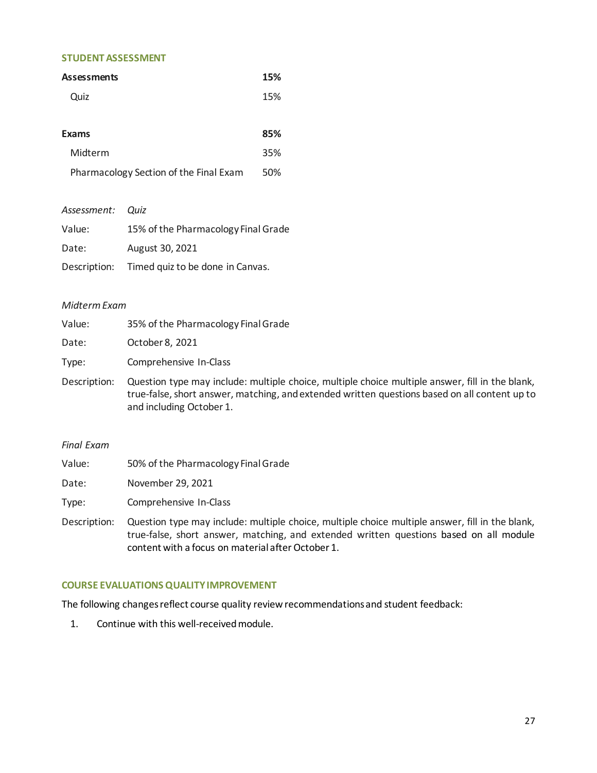## **STUDENT ASSESSMENT**

| <b>Assessments</b>                     | 15% |
|----------------------------------------|-----|
| Quiz                                   | 15% |
|                                        |     |
| <b>Exams</b>                           | 85% |
| Midterm                                | 35% |
| Pharmacology Section of the Final Exam | 50% |
|                                        |     |

| Assessment: Quiz |                                               |
|------------------|-----------------------------------------------|
| Value:           | 15% of the Pharmacology Final Grade           |
| Date:            | August 30, 2021                               |
|                  | Description: Timed quiz to be done in Canvas. |

## *Midterm Exam*

| Value: | 35% of the Pharmacology Final Grade              |
|--------|--------------------------------------------------|
| Date:  | October 8, 2021                                  |
| Type:  | Comprehensive In-Class                           |
|        | Description: Question type may include: multiple |

choice, multiple choice multiple answer, fill in the blank, true-false, short answer, matching, and extended written questions based on all content up to and including October 1.

## *Final Exam*

| Value: | 50% of the Pharmacology Final Grade |
|--------|-------------------------------------|
|--------|-------------------------------------|

Date: November 29, 2021

Type: Comprehensive In-Class

Description: Question type may include: multiple choice, multiple choice multiple answer, fill in the blank, true-false, short answer, matching, and extended written questions based on all module content with a focus on material after October 1.

# **COURSE EVALUATIONS QUALITY IMPROVEMENT**

The following changes reflect course quality review recommendations and student feedback:

1. Continue with this well-received module.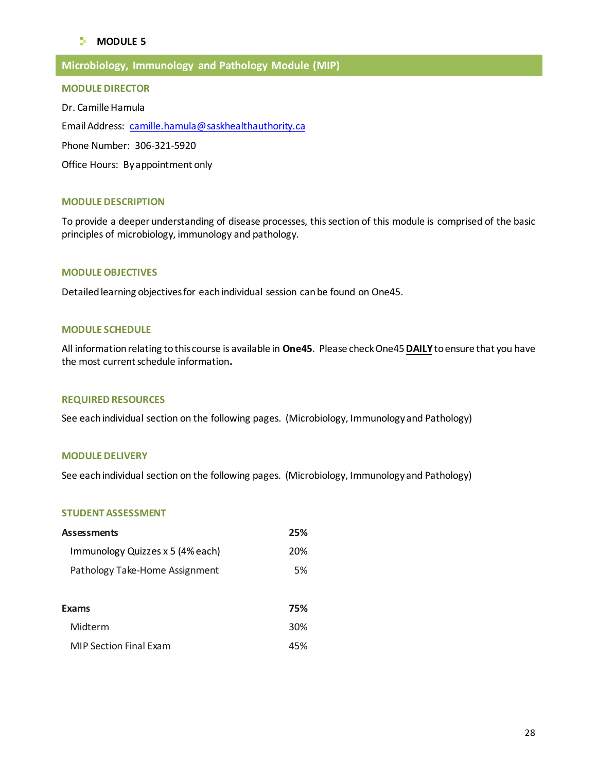# **MODULE**<sub>5</sub>

# **Microbiology, Immunology and Pathology Module (MIP)**

#### **MODULE DIRECTOR**

Dr. Camille Hamula Email Address: [camille.hamula@saskhealthauthority.ca](mailto:camille.hamula@saskhealthauthority.ca) Phone Number: 306-321-5920

Office Hours: By appointment only

#### **MODULE DESCRIPTION**

To provide a deeper understanding of disease processes, this section of this module is comprised of the basic principles of microbiology, immunology and pathology.

## **MODULE OBJECTIVES**

Detailed learning objectives for each individual session can be found on One45.

## **MODULE SCHEDULE**

All information relating to this course is available in **One45**. Please check One45**DAILY**to ensure that you have the most current schedule information**.**

#### **REQUIRED RESOURCES**

See each individual section on the following pages. (Microbiology, Immunology and Pathology)

## **MODULE DELIVERY**

See each individual section on the following pages. (Microbiology, Immunology and Pathology)

#### **STUDENT ASSESSMENT**

| Assessments                      |     |
|----------------------------------|-----|
| Immunology Quizzes x 5 (4% each) | 20% |
| Pathology Take-Home Assignment   | 5%  |
|                                  |     |
| Exams                            | 75% |
| Midterm                          | 30% |
| <b>MIP Section Final Exam</b>    | 45% |
|                                  |     |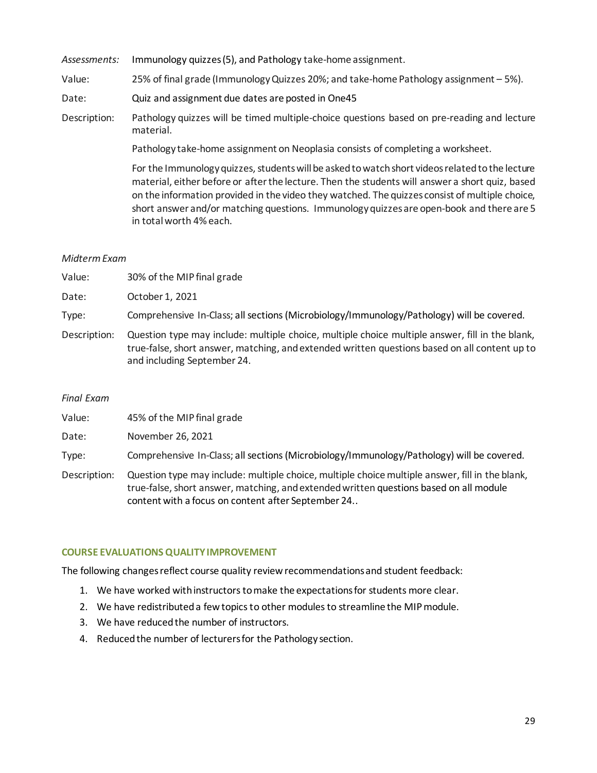*Assessments:* Immunology quizzes(5), and Pathology take-home assignment.

Value: 25% of final grade (Immunology Quizzes 20%; and take-home Pathology assignment – 5%).

Date: Quiz and assignment due dates are posted in One45

Description: Pathology quizzes will be timed multiple-choice questions based on pre-reading and lecture material.

Pathology take-home assignment on Neoplasia consists of completing a worksheet.

For the Immunology quizzes, students will be asked to watch short videos related to the lecture material, either before or after the lecture. Then the students will answer a short quiz, based on the information provided in the video they watched. The quizzes consist of multiple choice, short answer and/or matching questions. Immunology quizzes are open-book and there are 5 in total worth 4% each.

## *Midterm Exam*

| Value:       | 30% of the MIP final grade                                                                                                                                                                                                      |
|--------------|---------------------------------------------------------------------------------------------------------------------------------------------------------------------------------------------------------------------------------|
| Date:        | October 1, 2021                                                                                                                                                                                                                 |
| Type:        | Comprehensive In-Class; all sections (Microbiology/Immunology/Pathology) will be covered.                                                                                                                                       |
| Description: | Question type may include: multiple choice, multiple choice multiple answer, fill in the blank,<br>true-false, short answer, matching, and extended written questions based on all content up to<br>and including September 24. |

#### *Final Exam*

| Value: | 45% of the MIP final grade |
|--------|----------------------------|
|--------|----------------------------|

Date: November 26, 2021

Type: Comprehensive In-Class; all sections (Microbiology/Immunology/Pathology) will be covered.

Description: Question type may include: multiple choice, multiple choice multiple answer, fill in the blank, true-false, short answer, matching, and extended written questions based on all module content with a focus on content after September 24..

# **COURSE EVALUATIONS QUALITY IMPROVEMENT**

The following changes reflect course quality review recommendations and student feedback:

- 1. We have worked with instructors to make the expectations for students more clear.
- 2. We have redistributed a few topics to other modules to streamline the MIP module.
- 3. We have reduced the number of instructors.
- 4. Reduced the number of lecturers for the Pathology section.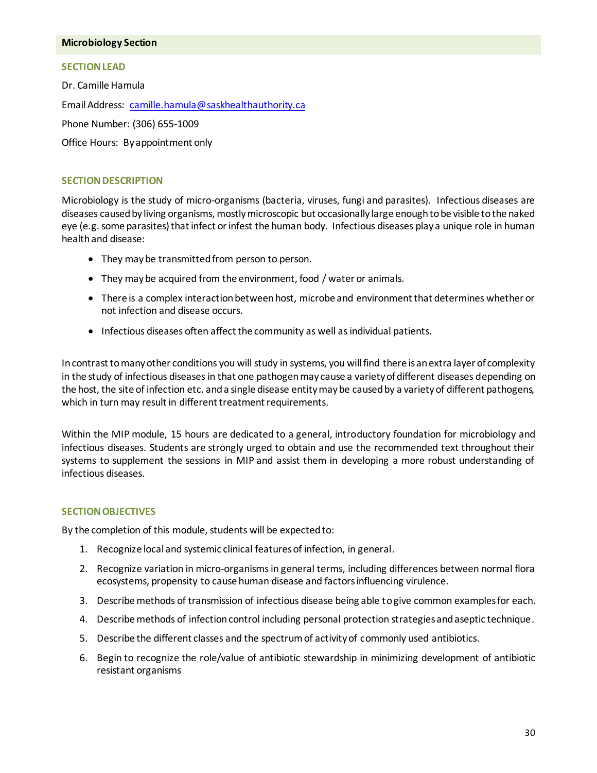#### **Microbiology Section**

#### **SECTION LEAD**

Dr. Camille Hamula Email Address: camille.hamula@saskhealthauthority.ca Phone Number: (306) 655-1009 Office Hours: By appointment only

## **SECTION DESCRIPTION**

Microbiology is the study of micro-organisms (bacteria, viruses, fungi and parasites). Infectious diseases are diseases caused by living organisms, mostly microscopic but occasionally large enough to be visible to the naked eye (e.g. some parasites) that infect or infest the human body. Infectious diseases play a unique role in human health and disease:

- They may be transmitted from person to person.
- They may be acquired from the environment, food / water or animals.
- There is a complex interaction between host, microbe and environment that determines whether or not infection and disease occurs.
- Infectious diseases often affect the community as well as individual patients.

In contrast to many other conditions you will study in systems, you will find there is an extra layer of complexity in the study of infectious diseases in that one pathogen may cause a variety of different diseases depending on the host, the site of infection etc. and a single disease entity may be caused by a variety of different pathogens, which in turn may result in different treatment requirements.

Within the MIP module, 15 hours are dedicated to a general, introductory foundation for microbiology and infectious diseases. Students are strongly urged to obtain and use the recommended text throughout their systems to supplement the sessions in MIP and assist them in developing a more robust understanding of infectious diseases.

#### **SECTION OBJECTIVES**

By the completion of this module, students will be expected to:

- 1. Recognize local and systemic clinical features of infection, in general.
- 2. Recognize variation in micro-organisms in general terms, including differences between normal flora ecosystems, propensity to cause human disease and factors influencing virulence.
- 3. Describe methods of transmission of infectious disease being able to give common examples for each.
- 4. Describe methods of infection control including personal protection strategies and aseptic technique.
- 5. Describe the different classes and the spectrum of activity of commonly used antibiotics.
- 6. Begin to recognize the role/value of antibiotic stewardship in minimizing development of antibiotic resistant organisms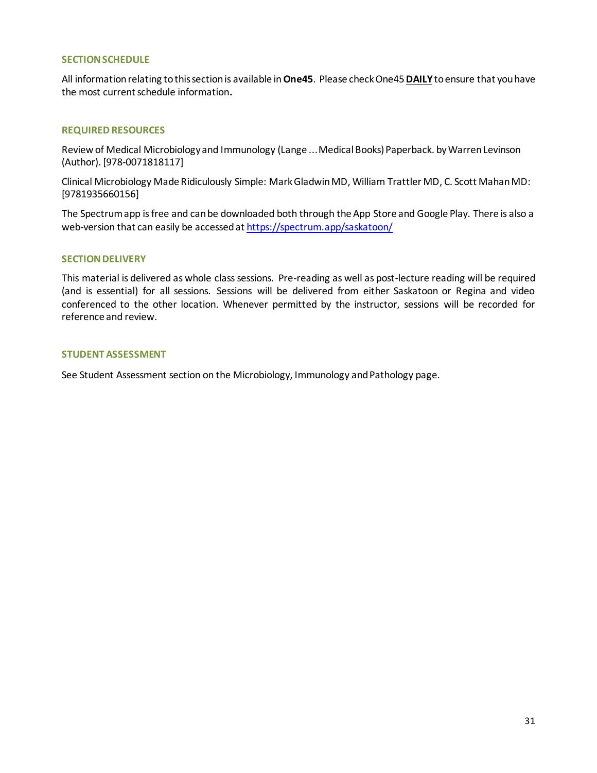## **SECTION SCHEDULE**

All information relating to this section is available in**One45**. Please check One45**DAILY**to ensure that you have the most current schedule information**.**

## **REQUIRED RESOURCES**

[Review of Medical Microbiology and Immunology \(Lange ...M](http://www.amazon.com/Review-Medical-Microbiology-Immunology-Lange/dp/0071818111)edical Books) Paperback. by Warren Levinson (Author). [978-0071818117]

Clinical Microbiology Made Ridiculously Simple: Mark Gladwin MD, William Trattler MD, C. Scott Mahan MD: [9781935660156]

The Spectrum app is free and can be downloaded both through the App Store and Google Play. There is also a web-version that can easily be accessed at<https://spectrum.app/saskatoon/>

#### **SECTION DELIVERY**

This material is delivered as whole class sessions. Pre-reading as well as post-lecture reading will be required (and is essential) for all sessions. Sessions will be delivered from either Saskatoon or Regina and video conferenced to the other location. Whenever permitted by the instructor, sessions will be recorded for reference and review.

## **STUDENT ASSESSMENT**

See Student Assessment section on the Microbiology, Immunology and Pathology page.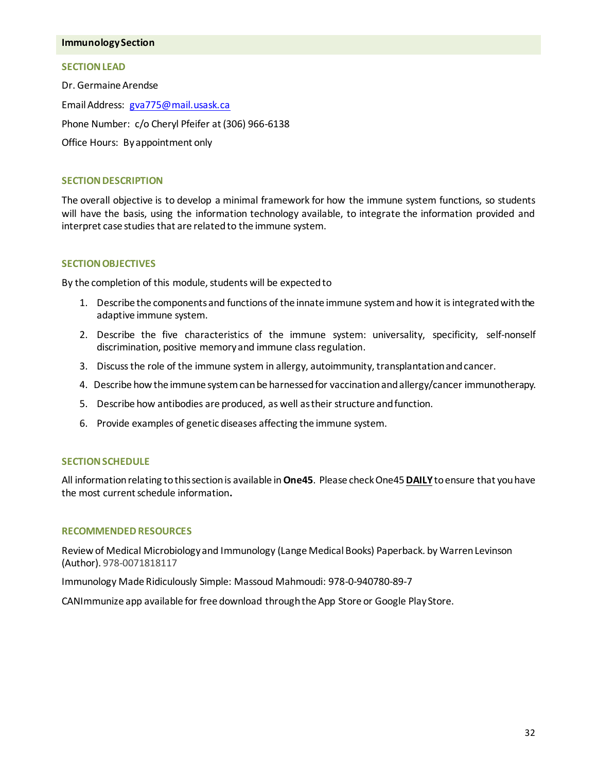#### **Immunology Section**

#### **SECTION LEAD**

Dr. Germaine Arendse Email Address: [gva775@mail.usask.ca](mailto:gva775@mail.usask.ca) Phone Number: c/o Cheryl Pfeifer at (306) 966-6138 Office Hours: By appointment only

## **SECTION DESCRIPTION**

The overall objective is to develop a minimal framework for how the immune system functions, so students will have the basis, using the information technology available, to integrate the information provided and interpret case studies that are related to the immune system.

## **SECTION OBJECTIVES**

By the completion of this module, students will be expected to

- 1. Describe the components and functions of the innate immune system and how it is integrated with the adaptive immune system.
- 2. Describe the five characteristics of the immune system: universality, specificity, self-nonself discrimination, positive memory and immune class regulation.
- 3. Discuss the role of the immune system in allergy, autoimmunity, transplantation and cancer.
- 4. Describe how the immune system can be harnessed for vaccination and allergy/cancer immunotherapy.
- 5. Describe how antibodies are produced, as well as their structure and function.
- 6. Provide examples of genetic diseases affecting the immune system.

#### **SECTION SCHEDULE**

All information relating to this section is available in **One45**. Please check One45**DAILY**to ensure that you have the most current schedule information**.**

#### **RECOMMENDED RESOURCES**

Review of Medical Microbiology and Immunology (Lange Medical Books) Paperback. by Warren Levinson (Author). 978-0071818117

Immunology Made Ridiculously Simple: Massoud Mahmoudi: 978-0-940780-89-7

CANImmunize app available for free download through the App Store or Google Play Store.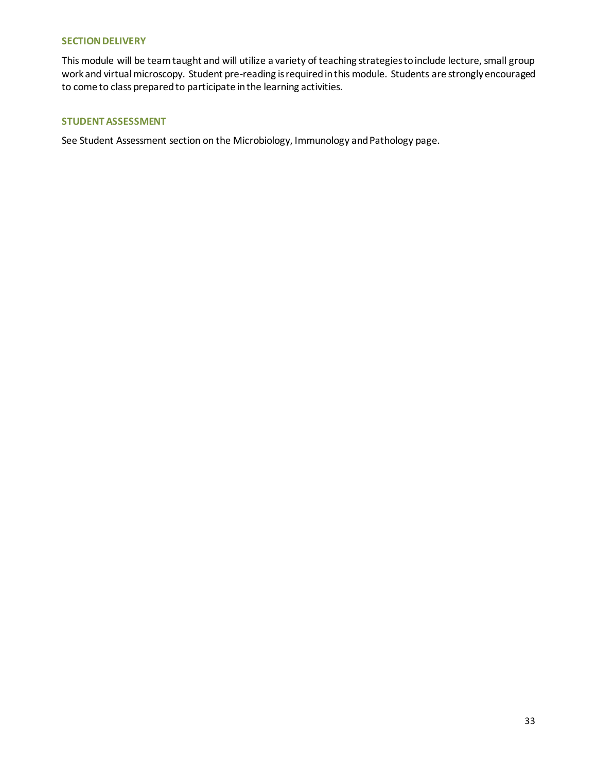## **SECTION DELIVERY**

This module will be team taught and will utilize a variety of teaching strategies to include lecture, small group work and virtual microscopy. Student pre-reading is required in this module. Students are strongly encouraged to come to class prepared to participate in the learning activities.

## **STUDENT ASSESSMENT**

See Student Assessment section on the Microbiology, Immunology and Pathology page.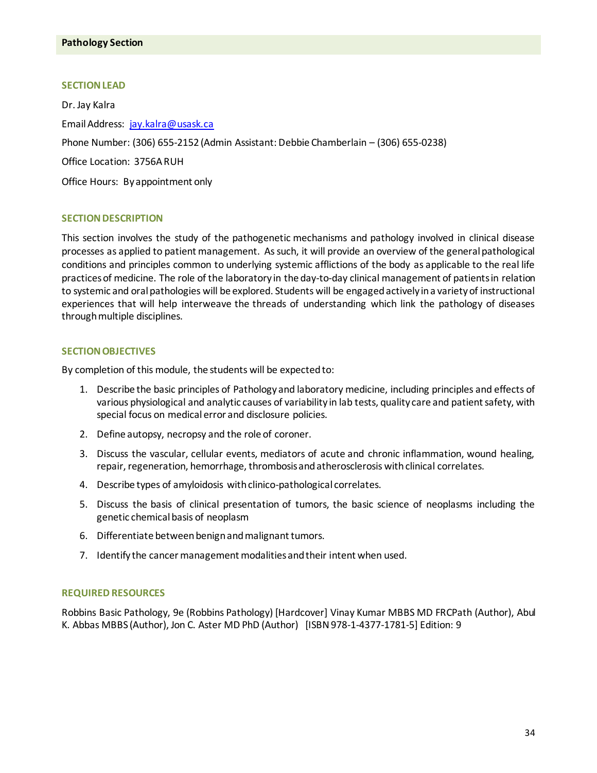## **SECTION LEAD**

Dr. Jay Kalra Email Address: jay.kalra@usask.ca Phone Number: (306) 655-2152 (Admin Assistant: Debbie Chamberlain – (306) 655-0238) Office Location: 3756A RUH Office Hours: By appointment only

# **SECTION DESCRIPTION**

This section involves the study of the pathogenetic mechanisms and pathology involved in clinical disease processes as applied to patient management. As such, it will provide an overview of the general pathological conditions and principles common to underlying systemic afflictions of the body as applicable to the real life practices of medicine. The role of the laboratory in the day-to-day clinical management of patients in relation to systemic and oral pathologies will be explored. Students will be engaged actively in a variety of instructional experiences that will help interweave the threads of understanding which link the pathology of diseases through multiple disciplines.

#### **SECTION OBJECTIVES**

By completion of this module, the students will be expected to:

- 1. Describe the basic principles of Pathology and laboratory medicine, including principles and effects of various physiological and analytic causes of variability in lab tests, quality care and patient safety, with special focus on medical error and disclosure policies.
- 2. Define autopsy, necropsy and the role of coroner.
- 3. Discuss the vascular, cellular events, mediators of acute and chronic inflammation, wound healing, repair, regeneration, hemorrhage, thrombosis and atherosclerosis with clinical correlates.
- 4. Describe types of amyloidosis with clinico-pathological correlates.
- 5. Discuss the basis of clinical presentation of tumors, the basic science of neoplasms including the genetic chemical basis of neoplasm
- 6. Differentiate between benign and malignant tumors.
- 7. Identify the cancer management modalities and their intent when used.

#### **REQUIRED RESOURCES**

Robbins Basic Pathology, 9e (Robbins Pathology) [Hardcover[\] Vinay Kumar MBBS MD FRCPath](http://www.amazon.com/s/ref=ntt_athr_dp_sr_1?_encoding=UTF8&field-author=Vinay%20Kumar%20MBBS%20%20MD%20%20FRCPath&search-alias=books&sort=relevancerank) (Author)[, Abul](http://www.amazon.com/s/ref=ntt_athr_dp_sr_2?_encoding=UTF8&field-author=Abul%20K.%20Abbas%20MBBS&search-alias=books&sort=relevancerank)  [K. Abbas MBBS](http://www.amazon.com/s/ref=ntt_athr_dp_sr_2?_encoding=UTF8&field-author=Abul%20K.%20Abbas%20MBBS&search-alias=books&sort=relevancerank) (Author)[, Jon C. Aster MD PhD](http://www.amazon.com/s/ref=ntt_athr_dp_sr_3?_encoding=UTF8&field-author=Jon%20C.%20Aster%20MD%20%20PhD&search-alias=books&sort=relevancerank) (Author) [ISBN 978-1-4377-1781-5] Edition: 9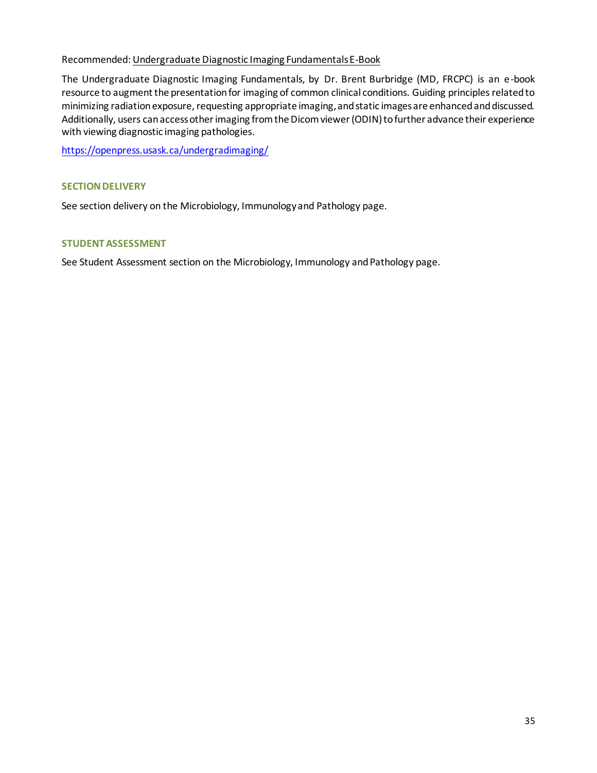# Recommended: Undergraduate Diagnostic Imaging Fundamentals E-Book

The Undergraduate Diagnostic Imaging Fundamentals, by Dr. Brent Burbridge (MD, FRCPC) is an e-book resource to augment the presentation for imaging of common clinical conditions. Guiding principles related to minimizing radiation exposure, requesting appropriate imaging, and static images are enhanced and discussed. Additionally, users can access other imaging from the Dicom viewer (ODIN) to further advance their experience with viewing diagnostic imaging pathologies.

<https://openpress.usask.ca/undergradimaging/>

# **SECTION DELIVERY**

See section delivery on the Microbiology, Immunology and Pathology page.

## **STUDENT ASSESSMENT**

See Student Assessment section on the Microbiology, Immunology and Pathology page.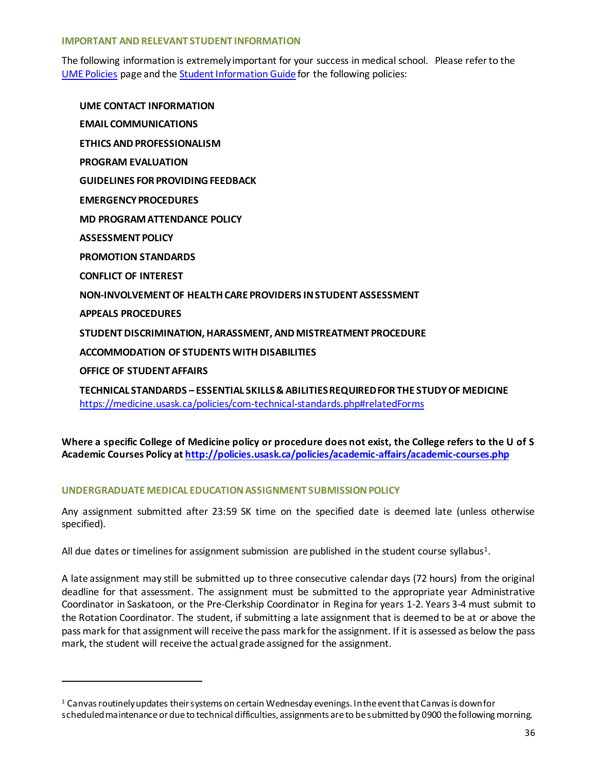## **IMPORTANT AND RELEVANT STUDENT INFORMATION**

The following information is extremely important for your success in medical school. Please refer to the [UME Policies](http://medicine.usask.ca/students/undergraduate/policies.php) page and the [Student Information Guide](http://medicine.usask.ca/students/undergraduate/curriculum-schedules-objectives.php#Aboriginalhealthinthecurriculum) for the following policies:

**UME CONTACT INFORMATION EMAIL COMMUNICATIONS ETHICS AND PROFESSIONALISM PROGRAM EVALUATION GUIDELINES FOR PROVIDING FEEDBACK\ EMERGENCY PROCEDURES MD PROGRAM ATTENDANCE POLICY ASSESSMENT POLICY PROMOTION STANDARDS CONFLICT OF INTEREST NON-INVOLVEMENT OF HEALTH CARE PROVIDERS IN STUDENT ASSESSMENT APPEALS PROCEDURES STUDENT DISCRIMINATION, HARASSMENT, AND MISTREATMENT PROCEDURE ACCOMMODATION OF STUDENTS WITH DISABILITIES OFFICE OF STUDENT AFFAIRS**

**TECHNICAL STANDARDS – ESSENTIAL SKILLS & ABILITIES REQUIRED FOR THE STUDY OF MEDICINE**  <https://medicine.usask.ca/policies/com-technical-standards.php#relatedForms>

**Where a specific College of Medicine policy or procedure does not exist, the College refers to the U of S Academic Courses Policy at<http://policies.usask.ca/policies/academic-affairs/academic-courses.php>**

# **UNDERGRADUATE MEDICAL EDUCATIONASSIGNMENT SUBMISSIONPOLICY**

-

Any assignment submitted after 23:59 SK time on the specified date is deemed late (unless otherwise specified).

All due dates or timelines for assignment submission are published in the student course syllabus<sup>1</sup>.

A late assignment may still be submitted up to three consecutive calendar days (72 hours) from the original deadline for that assessment. The assignment must be submitted to the appropriate year Administrative Coordinator in Saskatoon, or the Pre-Clerkship Coordinator in Regina for years 1-2. Years 3-4 must submit to the Rotation Coordinator. The student, if submitting a late assignment that is deemed to be at or above the pass mark for that assignment will receive the pass mark for the assignment. If it is assessed as below the pass mark, the student will receive the actual grade assigned for the assignment.

 $1$  Canvas routinely updates their systems on certain Wednesday evenings. In the event that Canvas is down for scheduled maintenance or due to technical difficulties, assignments are to be submitted by 0900 the following morning.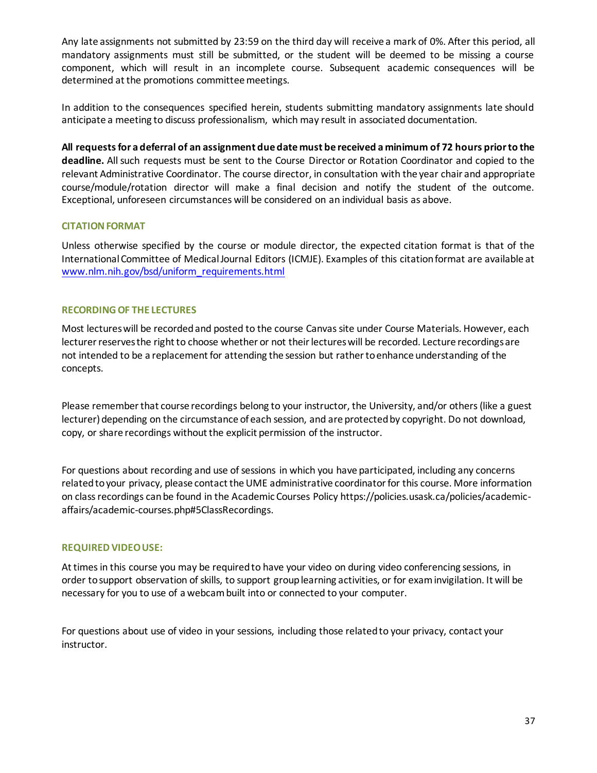Any late assignments not submitted by 23:59 on the third day will receive a mark of 0%. After this period, all mandatory assignments must still be submitted, or the student will be deemed to be missing a course component, which will result in an incomplete course. Subsequent academic consequences will be determined at the promotions committee meetings.

In addition to the consequences specified herein, students submitting mandatory assignments late should anticipate a meeting to discuss professionalism, which may result in associated documentation.

**All requests for a deferral of an assignment due date must be received a minimum of 72 hours prior to the deadline.** All such requests must be sent to the Course Director or Rotation Coordinator and copied to the relevant Administrative Coordinator. The course director, in consultation with the year chair and appropriate course/module/rotation director will make a final decision and notify the student of the outcome. Exceptional, unforeseen circumstances will be considered on an individual basis as above.

# **CITATION FORMAT**

Unless otherwise specified by the course or module director, the expected citation format is that of the International Committee of Medical Journal Editors (ICMJE). Examples of this citation format are available at [www.nlm.nih.gov/bsd/uniform\\_requirements.html](http://www.nlm.nih.gov/bsd/uniform_requirements.html)

# **RECORDING OF THE LECTURES**

Most lectures will be recorded and posted to the course Canvassite under Course Materials. However, each lecturer reserves the right to choose whether or not their lectures will be recorded. Lecture recordings are not intended to be a replacement for attending the session but rather to enhance understanding of the concepts.

Please remember that course recordings belong to your instructor, the University, and/or others (like a guest lecturer) depending on the circumstance of each session, and are protected by copyright. Do not download, copy, or share recordings without the explicit permission of the instructor.

For questions about recording and use of sessions in which you have participated, including any concerns related to your privacy, please contact the UME administrative coordinator for this course. More information on class recordings can be found in the Academic Courses Policy [https://policies.usask.ca/policies/academic](https://policies.usask.ca/policies/academic-affairs/academic-courses.php)[affairs/academic-courses.php#5ClassRecordings.](https://policies.usask.ca/policies/academic-affairs/academic-courses.php)

# **REQUIRED VIDEO USE:**

At times in this course you may be required to have your video on during video conferencing sessions, in order to support observation of skills, to support group learning activities, or for exam invigilation. It will be necessary for you to use of a webcam built into or connected to your computer.

For questions about use of video in your sessions, including those related to your privacy, contact your instructor.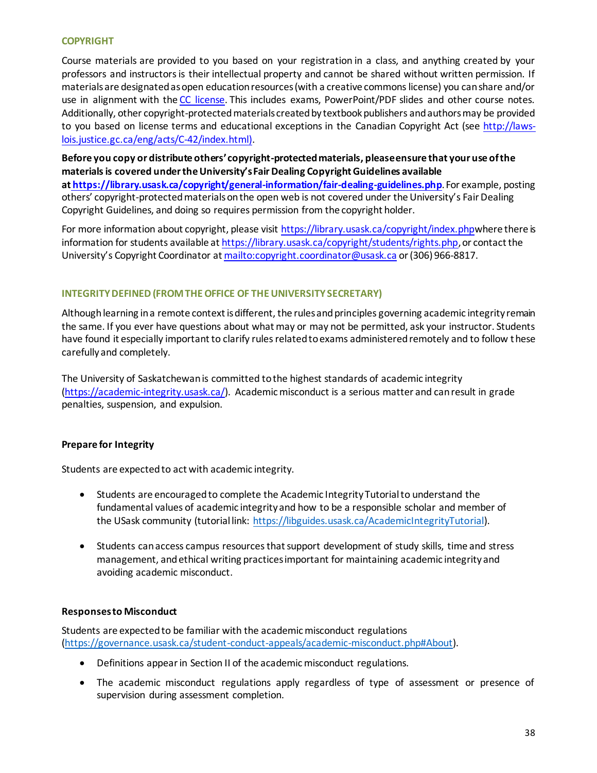# **COPYRIGHT**

Course materials are provided to you based on your registration in a class, and anything created by your professors and instructors is their intellectual property and cannot be shared without written permission. If materials are designated as open education resources (with a creative commons license) you can share and/or use in alignment with the [CC license.](https://openpress.usask.ca/authoring/chapter/creative-commons-licenses/) This includes exams, PowerPoint/PDF slides and other course notes. Additionally, other copyright-protected materials created by textbook publishers and authors may be provided to you based on license terms and educational exceptions in the Canadian Copyright Act (see [http://laws](http://laws-lois.justice.gc.ca/eng/acts/C-42/index.html)[lois.justice.gc.ca/eng/acts/C-42/index.html\).](http://laws-lois.justice.gc.ca/eng/acts/C-42/index.html)

**Before you copy or distribute others' copyright-protected materials, please ensure that your use of the materials is covered under the University's Fair Dealing Copyright Guidelines available at <https://library.usask.ca/copyright/general-information/fair-dealing-guidelines.php>**.For example, posting others' copyright-protected materials on the open web is not covered under the University's Fair Dealing Copyright Guidelines, and doing so requires permission from the copyright holder.

For more information about copyright, please visit <https://library.usask.ca/copyright/index.php>where there is information for students available at <https://library.usask.ca/copyright/students/rights.php>, or contact the University's Copyright Coordinator at <mailto:copyright.coordinator@usask.ca> or (306) 966-8817.

# **INTEGRITY DEFINED (FROM THE OFFICE OF THE UNIVERSITY SECRETARY)**

Although learning in a remote context is different, the rules and principles governing academic integrity remain the same. If you ever have questions about what may or may not be permitted, ask your instructor. Students have found it especially important to clarify rules related to exams administered remotely and to follow these carefully and completely.

The University of Saskatchewan is committed to the highest standards of academic integrity [\(https://academic-integrity.usask.ca/\)](https://academic-integrity.usask.ca/). Academic misconduct is a serious matter and can result in grade penalties, suspension, and expulsion.

# **Prepare for Integrity**

Students are expected to act with academic integrity.

- Students are encouraged to complete the Academic Integrity Tutorial to understand the fundamental values of academic integrity and how to be a responsible scholar and member of the USask community (tutorial link: [https://libguides.usask.ca/AcademicIntegrityTutorial\)](https://libguides.usask.ca/AcademicIntegrityTutorial).
- Students can access campus resources that support development of study skills, time and stress management, and ethical writing practices important for maintaining academic integrity and avoiding academic misconduct.

# **Responsesto Misconduct**

Students are expected to be familiar with the academic misconduct regulations [\(https://governance.usask.ca/student-conduct-appeals/academic-misconduct.php#About\)](https://governance.usask.ca/student-conduct-appeals/academic-misconduct.php#About).

- Definitions appear in Section II of the academic misconduct regulations.
- The academic misconduct regulations apply regardless of type of assessment or presence of supervision during assessment completion.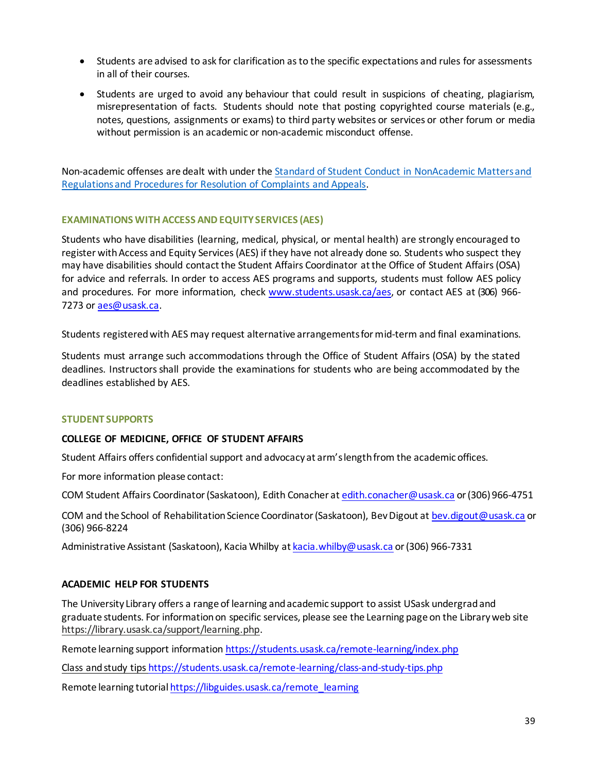- Students are advised to ask for clarification as to the specific expectations and rules for assessments in all of their courses.
- Students are urged to avoid any behaviour that could result in suspicions of cheating, plagiarism, misrepresentation of facts. Students should note that posting copyrighted course materials (e.g., notes, questions, assignments or exams) to third party websites or services or other forum or media without permission is an academic or non-academic misconduct offense.

Non-academic offenses are dealt with under the Standard of Student Conduct in NonAcademic Matters and [Regulations and Procedures for Resolution of Complaints and Appeals.](https://governance.usask.ca/student-conduct-appeals/non-academic-misconduct.php)

# **EXAMINATIONS WITH ACCESS AND EQUITY SERVICES (AES)**

Students who have disabilities (learning, medical, physical, or mental health) are strongly encouraged to register with Access and Equity Services (AES) if they have not already done so. Students who suspect they may have disabilities should contact the Student Affairs Coordinator atthe Office of Student Affairs(OSA) for advice and referrals. In order to access AES programs and supports, students must follow AES policy and procedures. For more information, check [www.students.usask.ca/aes,](http://www.students.usask.ca/aes) or contact AES at (306) 966- 7273 or [aes@usask.ca.](mailto:aes@usask.ca)

Students registered with AES may request alternative arrangements for mid-term and final examinations.

Students must arrange such accommodations through the Office of Student Affairs (OSA) by the stated deadlines. Instructors shall provide the examinations for students who are being accommodated by the deadlines established by AES.

# **STUDENT SUPPORTS**

# **COLLEGE OF MEDICINE, OFFICE OF STUDENT AFFAIRS**

Student Affairs offers confidential support and advocacy at arm's length from the academic offices.

For more information please contact:

COM Student Affairs Coordinator (Saskatoon), Edith Conacher at [edith.conacher@usask.ca](mailto:edith.conacher@usask.ca) or (306) 966-4751

COM and the School of Rehabilitation Science Coordinator (Saskatoon), Bev Digout a[t bev.digout@usask.ca](mailto:bev.digout@usask.ca) or (306) 966-8224

Administrative Assistant (Saskatoon), Kacia Whilby a[t kacia.whilby@usask.ca](mailto:kacia.whilby@usask.ca) or (306) 966-7331

# **ACADEMIC HELP FOR STUDENTS**

The University Library offers a range of learning and academic support to assist USask undergrad and graduate students. For information on specific services, please see the Learning page on the Library web site [https://library.usask.ca/support/learning.php.](https://library.usask.ca/support/learning.php)

Remote learning support informatio[n https://students.usask.ca/remote-learning/index.php](https://students.usask.ca/remote-learning/index.php)

Class and study tips<https://students.usask.ca/remote-learning/class-and-study-tips.php>

Remote learning tutoria[l https://libguides.usask.ca/remote\\_learning](https://libguides.usask.ca/remote_learning)